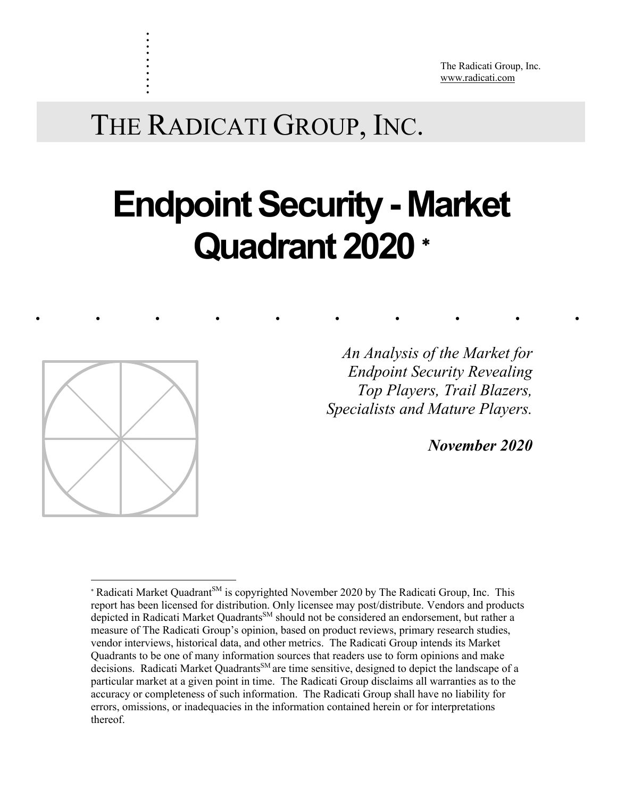The Radicati Group, Inc. www.radicati.com

# THE RADICATI GROUP, INC.

# **Endpoint Security - Market Quadrant 2020** \*

......... .



. . . . . . . . . .

> *Top Players, Trail Blazers, An Analysis of the Market for Endpoint Security Revealing Specialists and Mature Players.*

> > *November 2020*

<sup>\*</sup> Radicati Market Quadrant<sup>SM</sup> is copyrighted November 2020 by The Radicati Group, Inc. This report has been licensed for distribution. Only licensee may post/distribute. Vendors and products depicted in Radicati Market Quadrants<sup>SM</sup> should not be considered an endorsement, but rather a measure of The Radicati Group's opinion, based on product reviews, primary research studies, vendor interviews, historical data, and other metrics. The Radicati Group intends its Market Quadrants to be one of many information sources that readers use to form opinions and make decisions. Radicati Market Quadrants<sup>SM</sup> are time sensitive, designed to depict the landscape of a particular market at a given point in time. The Radicati Group disclaims all warranties as to the accuracy or completeness of such information. The Radicati Group shall have no liability for errors, omissions, or inadequacies in the information contained herein or for interpretations thereof.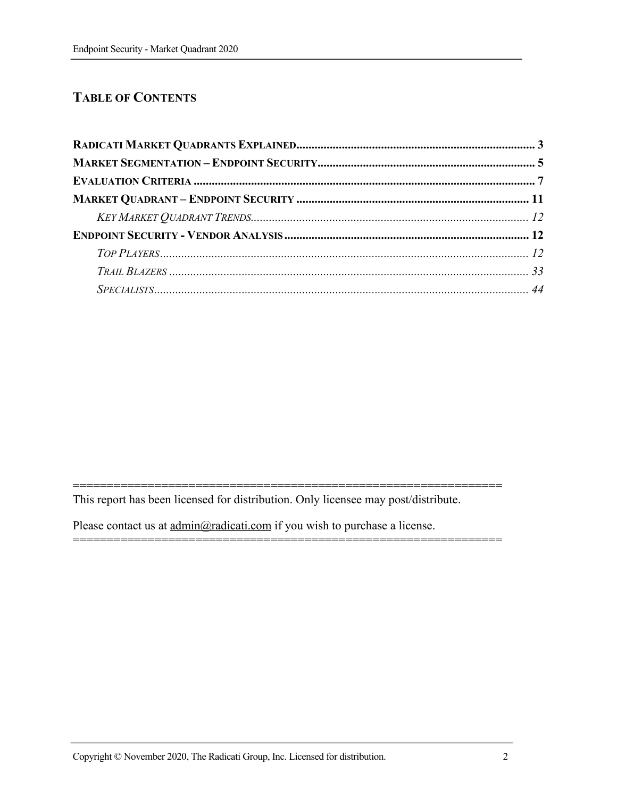# **TABLE OF CONTENTS**

This report has been licensed for distribution. Only licensee may post/distribute.

===============================================================

===============================================================

Please contact us at  $\underline{admin}$ @radicati.com if you wish to purchase a license.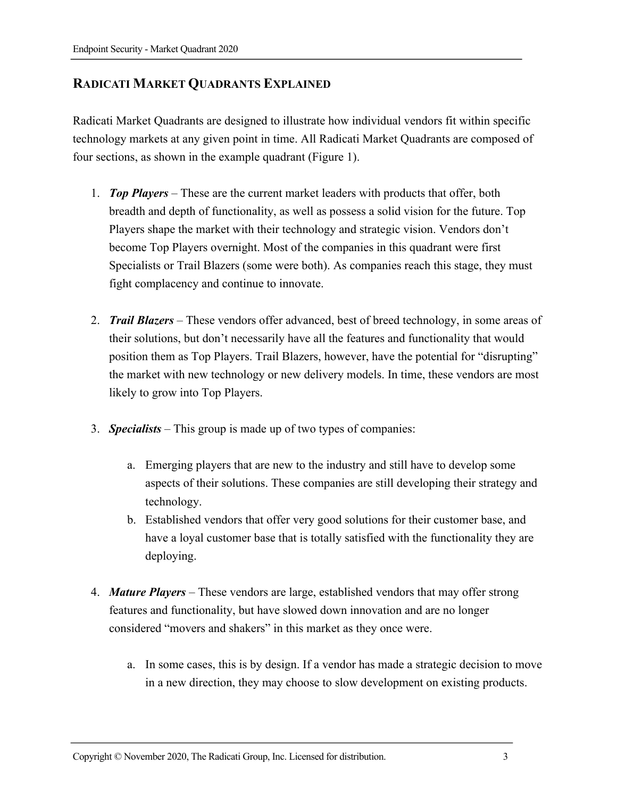# **RADICATI MARKET QUADRANTS EXPLAINED**

Radicati Market Quadrants are designed to illustrate how individual vendors fit within specific technology markets at any given point in time. All Radicati Market Quadrants are composed of four sections, as shown in the example quadrant (Figure 1).

- 1. *Top Players* These are the current market leaders with products that offer, both breadth and depth of functionality, as well as possess a solid vision for the future. Top Players shape the market with their technology and strategic vision. Vendors don't become Top Players overnight. Most of the companies in this quadrant were first Specialists or Trail Blazers (some were both). As companies reach this stage, they must fight complacency and continue to innovate.
- 2. *Trail Blazers* These vendors offer advanced, best of breed technology, in some areas of their solutions, but don't necessarily have all the features and functionality that would position them as Top Players. Trail Blazers, however, have the potential for "disrupting" the market with new technology or new delivery models. In time, these vendors are most likely to grow into Top Players.
- 3. *Specialists* This group is made up of two types of companies:
	- a. Emerging players that are new to the industry and still have to develop some aspects of their solutions. These companies are still developing their strategy and technology.
	- b. Established vendors that offer very good solutions for their customer base, and have a loyal customer base that is totally satisfied with the functionality they are deploying.
- 4. *Mature Players*  These vendors are large, established vendors that may offer strong features and functionality, but have slowed down innovation and are no longer considered "movers and shakers" in this market as they once were.
	- a. In some cases, this is by design. If a vendor has made a strategic decision to move in a new direction, they may choose to slow development on existing products.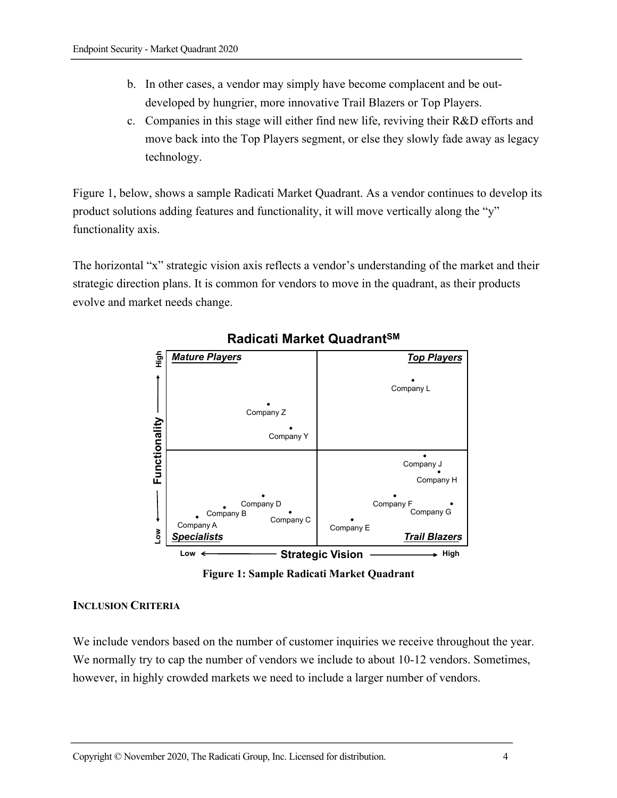- b. In other cases, a vendor may simply have become complacent and be outdeveloped by hungrier, more innovative Trail Blazers or Top Players.
- c. Companies in this stage will either find new life, reviving their R&D efforts and move back into the Top Players segment, or else they slowly fade away as legacy technology.

Figure 1, below, shows a sample Radicati Market Quadrant. As a vendor continues to develop its product solutions adding features and functionality, it will move vertically along the "y" functionality axis.

The horizontal "x" strategic vision axis reflects a vendor's understanding of the market and their strategic direction plans. It is common for vendors to move in the quadrant, as their products evolve and market needs change.



# **Radicati Market QuadrantSM**



#### **INCLUSION CRITERIA**

We include vendors based on the number of customer inquiries we receive throughout the year. We normally try to cap the number of vendors we include to about 10-12 vendors. Sometimes, however, in highly crowded markets we need to include a larger number of vendors.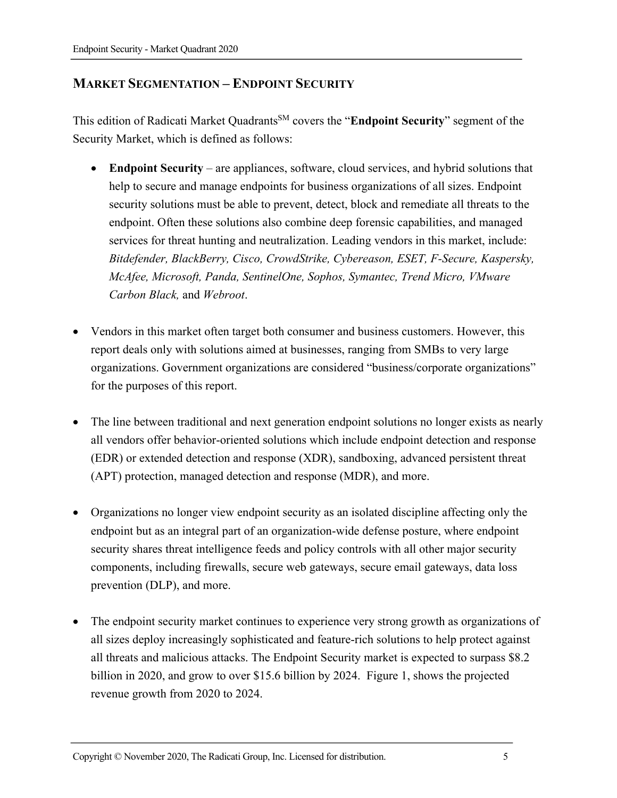# **MARKET SEGMENTATION – ENDPOINT SECURITY**

This edition of Radicati Market QuadrantsSM covers the "**Endpoint Security**" segment of the Security Market, which is defined as follows:

- **Endpoint Security** are appliances, software, cloud services, and hybrid solutions that help to secure and manage endpoints for business organizations of all sizes. Endpoint security solutions must be able to prevent, detect, block and remediate all threats to the endpoint. Often these solutions also combine deep forensic capabilities, and managed services for threat hunting and neutralization. Leading vendors in this market, include: *Bitdefender, BlackBerry, Cisco, CrowdStrike, Cybereason, ESET, F-Secure, Kaspersky, McAfee, Microsoft, Panda, SentinelOne, Sophos, Symantec, Trend Micro, VMware Carbon Black,* and *Webroot*.
- Vendors in this market often target both consumer and business customers. However, this report deals only with solutions aimed at businesses, ranging from SMBs to very large organizations. Government organizations are considered "business/corporate organizations" for the purposes of this report.
- The line between traditional and next generation endpoint solutions no longer exists as nearly all vendors offer behavior-oriented solutions which include endpoint detection and response (EDR) or extended detection and response (XDR), sandboxing, advanced persistent threat (APT) protection, managed detection and response (MDR), and more.
- Organizations no longer view endpoint security as an isolated discipline affecting only the endpoint but as an integral part of an organization-wide defense posture, where endpoint security shares threat intelligence feeds and policy controls with all other major security components, including firewalls, secure web gateways, secure email gateways, data loss prevention (DLP), and more.
- The endpoint security market continues to experience very strong growth as organizations of all sizes deploy increasingly sophisticated and feature-rich solutions to help protect against all threats and malicious attacks. The Endpoint Security market is expected to surpass \$8.2 billion in 2020, and grow to over \$15.6 billion by 2024. Figure 1, shows the projected revenue growth from 2020 to 2024.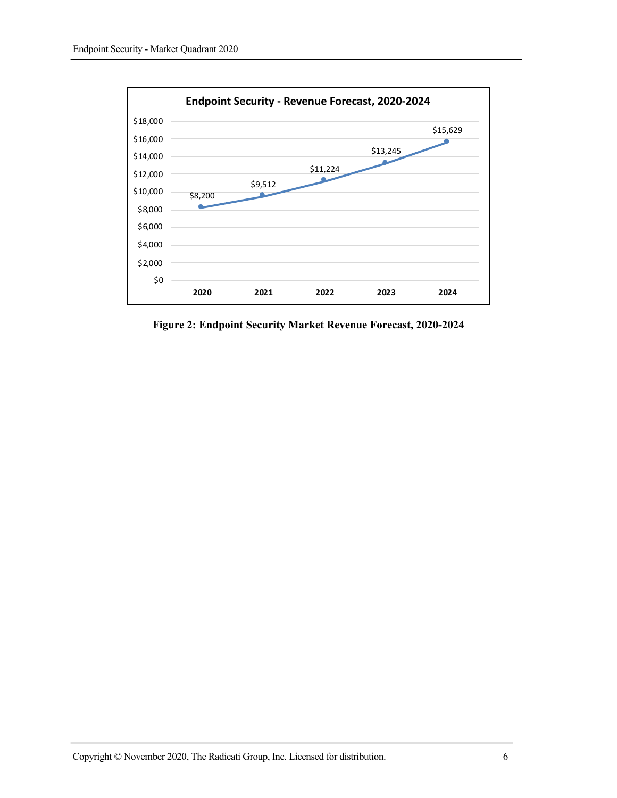

**Figure 2: Endpoint Security Market Revenue Forecast, 2020-2024**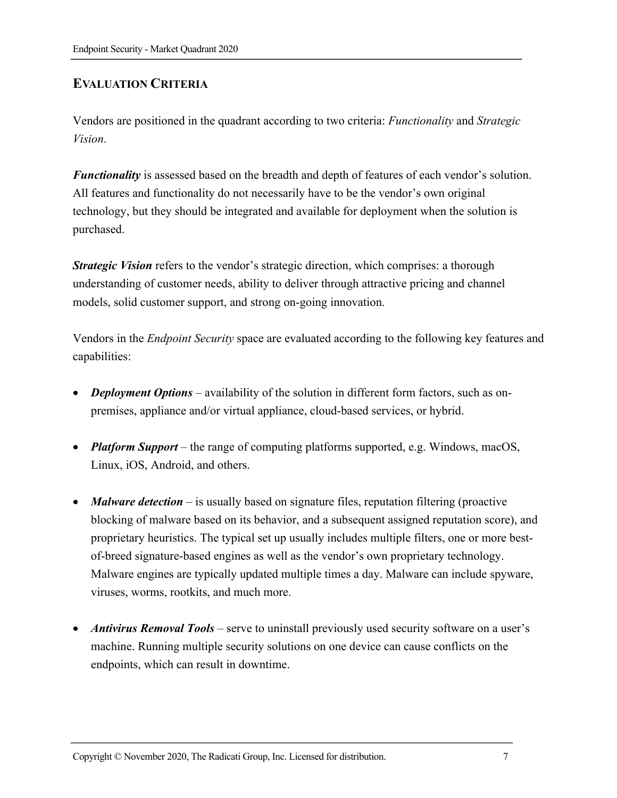# **EVALUATION CRITERIA**

Vendors are positioned in the quadrant according to two criteria: *Functionality* and *Strategic Vision*.

*Functionality* is assessed based on the breadth and depth of features of each vendor's solution. All features and functionality do not necessarily have to be the vendor's own original technology, but they should be integrated and available for deployment when the solution is purchased.

*Strategic Vision* refers to the vendor's strategic direction, which comprises: a thorough understanding of customer needs, ability to deliver through attractive pricing and channel models, solid customer support, and strong on-going innovation.

Vendors in the *Endpoint Security* space are evaluated according to the following key features and capabilities:

- *Deployment Options* availability of the solution in different form factors, such as onpremises, appliance and/or virtual appliance, cloud-based services, or hybrid.
- *Platform Support* the range of computing platforms supported, e.g. Windows, macOS, Linux, iOS, Android, and others.
- *Malware detection* is usually based on signature files, reputation filtering (proactive blocking of malware based on its behavior, and a subsequent assigned reputation score), and proprietary heuristics. The typical set up usually includes multiple filters, one or more bestof-breed signature-based engines as well as the vendor's own proprietary technology. Malware engines are typically updated multiple times a day. Malware can include spyware, viruses, worms, rootkits, and much more.
- *Antivirus Removal Tools*  serve to uninstall previously used security software on a user's machine. Running multiple security solutions on one device can cause conflicts on the endpoints, which can result in downtime.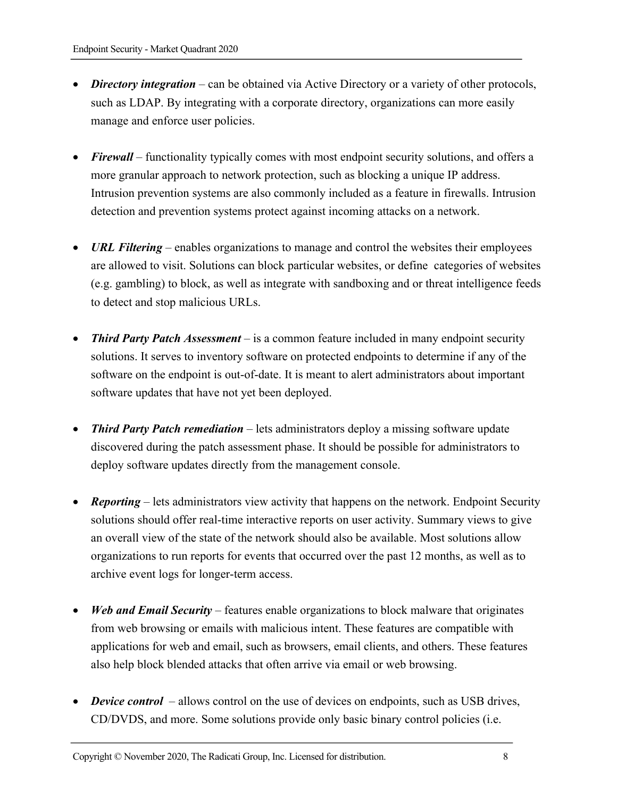- *Directory integration* can be obtained via Active Directory or a variety of other protocols, such as LDAP. By integrating with a corporate directory, organizations can more easily manage and enforce user policies.
- *Firewall* functionality typically comes with most endpoint security solutions, and offers a more granular approach to network protection, such as blocking a unique IP address. Intrusion prevention systems are also commonly included as a feature in firewalls. Intrusion detection and prevention systems protect against incoming attacks on a network.
- *URL Filtering* enables organizations to manage and control the websites their employees are allowed to visit. Solutions can block particular websites, or define categories of websites (e.g. gambling) to block, as well as integrate with sandboxing and or threat intelligence feeds to detect and stop malicious URLs.
- *Third Party Patch Assessment* is a common feature included in many endpoint security solutions. It serves to inventory software on protected endpoints to determine if any of the software on the endpoint is out-of-date. It is meant to alert administrators about important software updates that have not yet been deployed.
- *Third Party Patch remediation* lets administrators deploy a missing software update discovered during the patch assessment phase. It should be possible for administrators to deploy software updates directly from the management console.
- **Reporting** lets administrators view activity that happens on the network. Endpoint Security solutions should offer real-time interactive reports on user activity. Summary views to give an overall view of the state of the network should also be available. Most solutions allow organizations to run reports for events that occurred over the past 12 months, as well as to archive event logs for longer-term access.
- *Web and Email Security* features enable organizations to block malware that originates from web browsing or emails with malicious intent. These features are compatible with applications for web and email, such as browsers, email clients, and others. These features also help block blended attacks that often arrive via email or web browsing.
- *Device control* allows control on the use of devices on endpoints, such as USB drives, CD/DVDS, and more. Some solutions provide only basic binary control policies (i.e.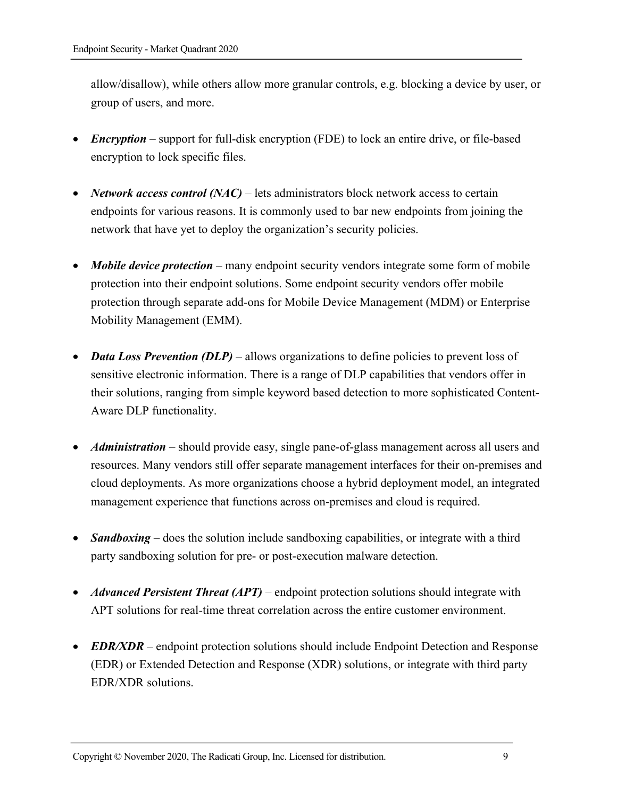allow/disallow), while others allow more granular controls, e.g. blocking a device by user, or group of users, and more.

- *Encryption* support for full-disk encryption (FDE) to lock an entire drive, or file-based encryption to lock specific files.
- *Network access control (NAC)* lets administrators block network access to certain endpoints for various reasons. It is commonly used to bar new endpoints from joining the network that have yet to deploy the organization's security policies.
- *Mobile device protection* many endpoint security vendors integrate some form of mobile protection into their endpoint solutions. Some endpoint security vendors offer mobile protection through separate add-ons for Mobile Device Management (MDM) or Enterprise Mobility Management (EMM).
- *Data Loss Prevention (DLP)* allows organizations to define policies to prevent loss of sensitive electronic information. There is a range of DLP capabilities that vendors offer in their solutions, ranging from simple keyword based detection to more sophisticated Content-Aware DLP functionality.
- *Administration* should provide easy, single pane-of-glass management across all users and resources. Many vendors still offer separate management interfaces for their on-premises and cloud deployments. As more organizations choose a hybrid deployment model, an integrated management experience that functions across on-premises and cloud is required.
- *Sandboxing* does the solution include sandboxing capabilities, or integrate with a third party sandboxing solution for pre- or post-execution malware detection.
- *Advanced Persistent Threat (APT)* endpoint protection solutions should integrate with APT solutions for real-time threat correlation across the entire customer environment.
- *EDR/XDR* endpoint protection solutions should include Endpoint Detection and Response (EDR) or Extended Detection and Response (XDR) solutions, or integrate with third party EDR/XDR solutions.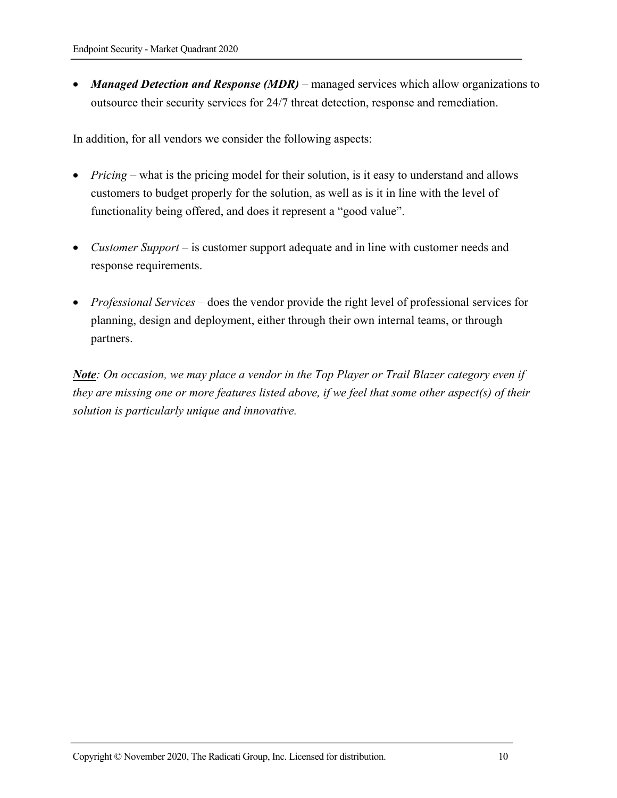• *Managed Detection and Response (MDR)* – managed services which allow organizations to outsource their security services for 24/7 threat detection, response and remediation.

In addition, for all vendors we consider the following aspects:

- *Pricing* what is the pricing model for their solution, is it easy to understand and allows customers to budget properly for the solution, as well as is it in line with the level of functionality being offered, and does it represent a "good value".
- *Customer Support* is customer support adequate and in line with customer needs and response requirements.
- *Professional Services* does the vendor provide the right level of professional services for planning, design and deployment, either through their own internal teams, or through partners.

*Note: On occasion, we may place a vendor in the Top Player or Trail Blazer category even if they are missing one or more features listed above, if we feel that some other aspect(s) of their solution is particularly unique and innovative.*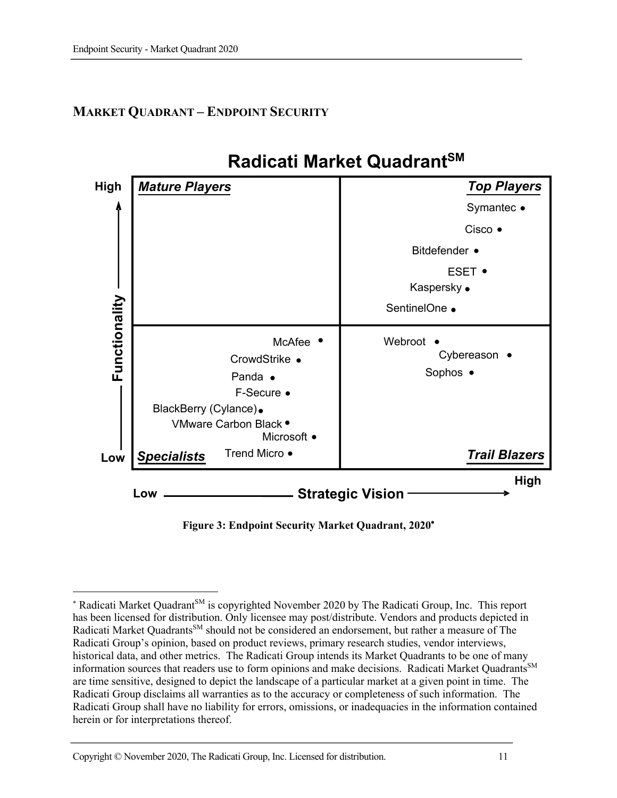# **MARKET QUADRANT – ENDPOINT SECURITY**



**Figure 3: Endpoint Security Market Quadrant, 2020**\*

<sup>\*</sup> Radicati Market Quadrant<sup>SM</sup> is copyrighted November 2020 by The Radicati Group, Inc. This report has been licensed for distribution. Only licensee may post/distribute. Vendors and products depicted in Radicati Market Quadrants<sup>SM</sup> should not be considered an endorsement, but rather a measure of The Radicati Group's opinion, based on product reviews, primary research studies, vendor interviews, historical data, and other metrics. The Radicati Group intends its Market Quadrants to be one of many information sources that readers use to form opinions and make decisions. Radicati Market Quadrants<sup>SM</sup> are time sensitive, designed to depict the landscape of a particular market at a given point in time. The Radicati Group disclaims all warranties as to the accuracy or completeness of such information. The Radicati Group shall have no liability for errors, omissions, or inadequacies in the information contained herein or for interpretations thereof.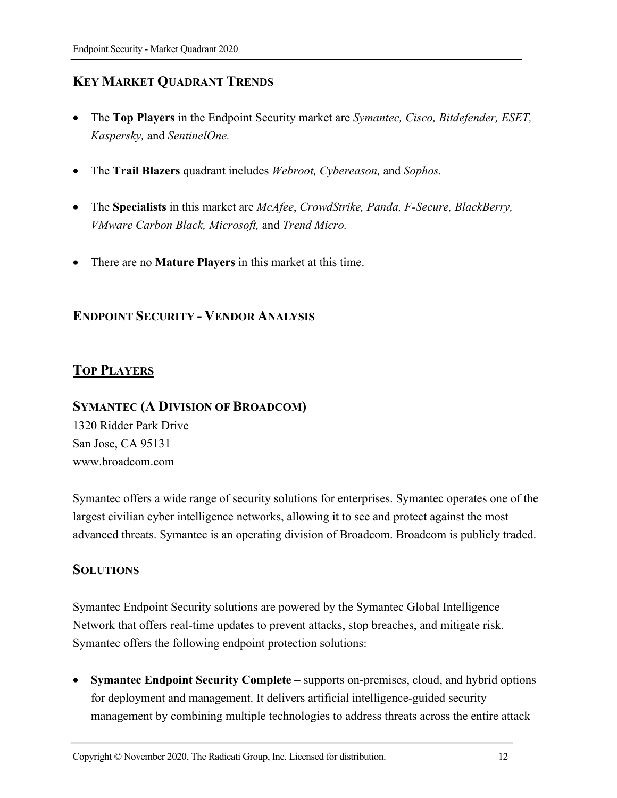# **KEY MARKET QUADRANT TRENDS**

- The **Top Players** in the Endpoint Security market are *Symantec, Cisco, Bitdefender, ESET, Kaspersky,* and *SentinelOne.*
- The **Trail Blazers** quadrant includes *Webroot, Cybereason,* and *Sophos.*
- The **Specialists** in this market are *McAfee*, *CrowdStrike, Panda, F-Secure, BlackBerry, VMware Carbon Black, Microsoft,* and *Trend Micro.*
- There are no **Mature Players** in this market at this time.

# **ENDPOINT SECURITY - VENDOR ANALYSIS**

# **TOP PLAYERS**

# **SYMANTEC (A DIVISION OF BROADCOM)**

1320 Ridder Park Drive San Jose, CA 95131 www.broadcom.com

Symantec offers a wide range of security solutions for enterprises. Symantec operates one of the largest civilian cyber intelligence networks, allowing it to see and protect against the most advanced threats. Symantec is an operating division of Broadcom. Broadcom is publicly traded.

# **SOLUTIONS**

Symantec Endpoint Security solutions are powered by the Symantec Global Intelligence Network that offers real-time updates to prevent attacks, stop breaches, and mitigate risk. Symantec offers the following endpoint protection solutions:

• **Symantec Endpoint Security Complete –** supports on-premises, cloud, and hybrid options for deployment and management. It delivers artificial intelligence-guided security management by combining multiple technologies to address threats across the entire attack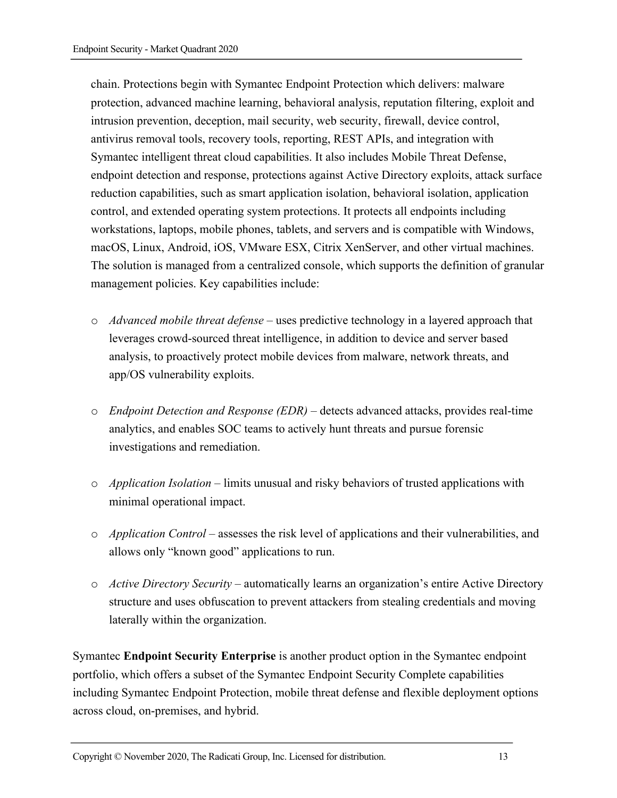chain. Protections begin with Symantec Endpoint Protection which delivers: malware protection, advanced machine learning, behavioral analysis, reputation filtering, exploit and intrusion prevention, deception, mail security, web security, firewall, device control, antivirus removal tools, recovery tools, reporting, REST APIs, and integration with Symantec intelligent threat cloud capabilities. It also includes Mobile Threat Defense, endpoint detection and response, protections against Active Directory exploits, attack surface reduction capabilities, such as smart application isolation, behavioral isolation, application control, and extended operating system protections. It protects all endpoints including workstations, laptops, mobile phones, tablets, and servers and is compatible with Windows, macOS, Linux, Android, iOS, VMware ESX, Citrix XenServer, and other virtual machines. The solution is managed from a centralized console, which supports the definition of granular management policies. Key capabilities include:

- o *Advanced mobile threat defense* uses predictive technology in a layered approach that leverages crowd-sourced threat intelligence, in addition to device and server based analysis, to proactively protect mobile devices from malware, network threats, and app/OS vulnerability exploits.
- o *Endpoint Detection and Response (EDR)* detects advanced attacks, provides real-time analytics, and enables SOC teams to actively hunt threats and pursue forensic investigations and remediation.
- o *Application Isolation* limits unusual and risky behaviors of trusted applications with minimal operational impact.
- o *Application Control* assesses the risk level of applications and their vulnerabilities, and allows only "known good" applications to run.
- o *Active Directory Security* automatically learns an organization's entire Active Directory structure and uses obfuscation to prevent attackers from stealing credentials and moving laterally within the organization.

Symantec **Endpoint Security Enterprise** is another product option in the Symantec endpoint portfolio, which offers a subset of the Symantec Endpoint Security Complete capabilities including Symantec Endpoint Protection, mobile threat defense and flexible deployment options across cloud, on-premises, and hybrid.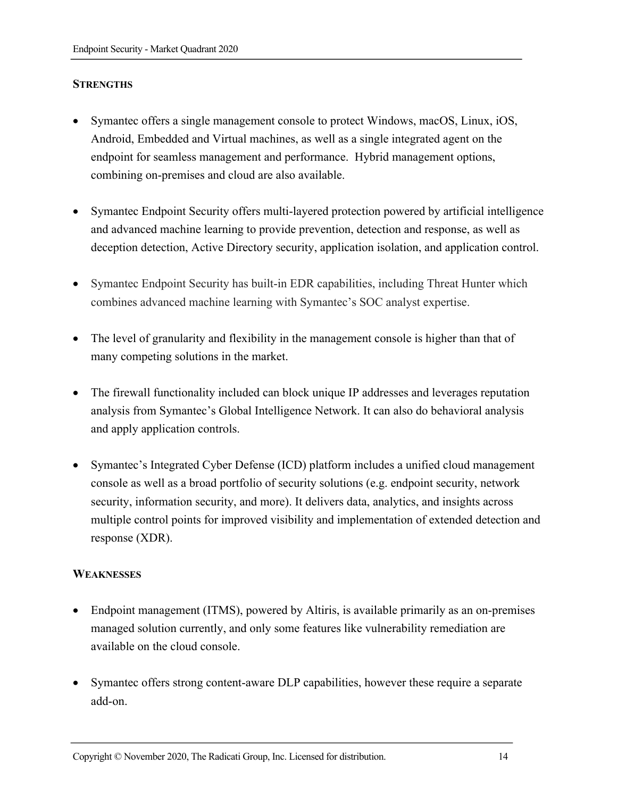#### **STRENGTHS**

- Symantec offers a single management console to protect Windows, macOS, Linux, iOS, Android, Embedded and Virtual machines, as well as a single integrated agent on the endpoint for seamless management and performance. Hybrid management options, combining on-premises and cloud are also available.
- Symantec Endpoint Security offers multi-layered protection powered by artificial intelligence and advanced machine learning to provide prevention, detection and response, as well as deception detection, Active Directory security, application isolation, and application control.
- Symantec Endpoint Security has built-in EDR capabilities, including Threat Hunter which combines advanced machine learning with Symantec's SOC analyst expertise.
- The level of granularity and flexibility in the management console is higher than that of many competing solutions in the market.
- The firewall functionality included can block unique IP addresses and leverages reputation analysis from Symantec's Global Intelligence Network. It can also do behavioral analysis and apply application controls.
- Symantec's Integrated Cyber Defense (ICD) platform includes a unified cloud management console as well as a broad portfolio of security solutions (e.g. endpoint security, network security, information security, and more). It delivers data, analytics, and insights across multiple control points for improved visibility and implementation of extended detection and response (XDR).

#### **WEAKNESSES**

- Endpoint management (ITMS), powered by Altiris, is available primarily as an on-premises managed solution currently, and only some features like vulnerability remediation are available on the cloud console.
- Symantec offers strong content-aware DLP capabilities, however these require a separate add-on.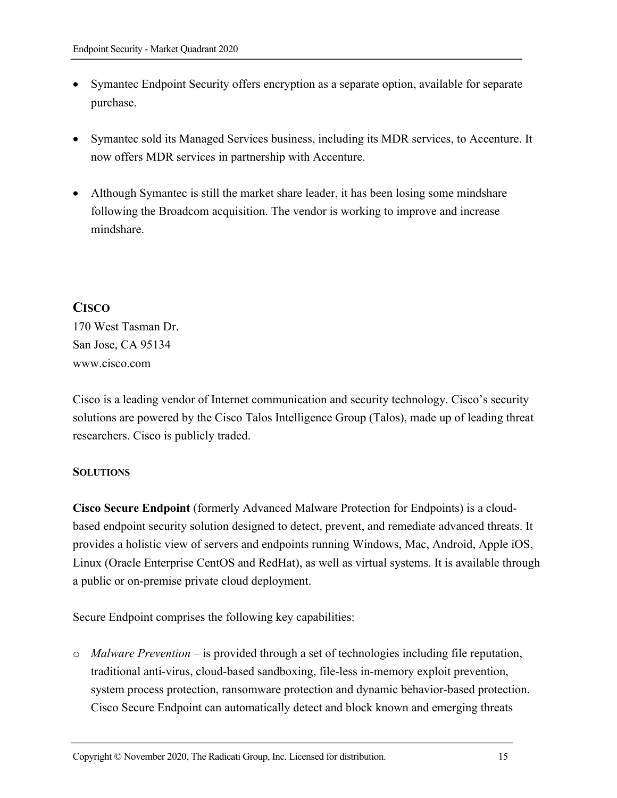- Symantec Endpoint Security offers encryption as a separate option, available for separate purchase.
- Symantec sold its Managed Services business, including its MDR services, to Accenture. It now offers MDR services in partnership with Accenture.
- Although Symantec is still the market share leader, it has been losing some mindshare following the Broadcom acquisition. The vendor is working to improve and increase mindshare.

# **CISCO**

170 West Tasman Dr. San Jose, CA 95134 www.cisco.com

Cisco is a leading vendor of Internet communication and security technology. Cisco's security solutions are powered by the Cisco Talos Intelligence Group (Talos), made up of leading threat researchers. Cisco is publicly traded.

#### **SOLUTIONS**

**Cisco Secure Endpoint** (formerly Advanced Malware Protection for Endpoints) is a cloudbased endpoint security solution designed to detect, prevent, and remediate advanced threats. It provides a holistic view of servers and endpoints running Windows, Mac, Android, Apple iOS, Linux (Oracle Enterprise CentOS and RedHat), as well as virtual systems. It is available through a public or on-premise private cloud deployment.

Secure Endpoint comprises the following key capabilities:

o *Malware Prevention* – is provided through a set of technologies including file reputation, traditional anti-virus, cloud-based sandboxing, file-less in-memory exploit prevention, system process protection, ransomware protection and dynamic behavior-based protection. Cisco Secure Endpoint can automatically detect and block known and emerging threats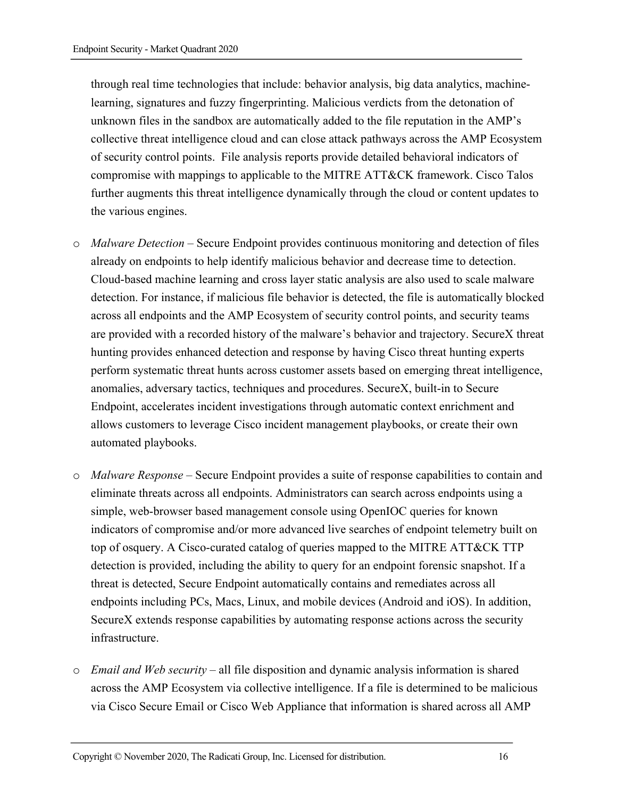through real time technologies that include: behavior analysis, big data analytics, machinelearning, signatures and fuzzy fingerprinting. Malicious verdicts from the detonation of unknown files in the sandbox are automatically added to the file reputation in the AMP's collective threat intelligence cloud and can close attack pathways across the AMP Ecosystem of security control points. File analysis reports provide detailed behavioral indicators of compromise with mappings to applicable to the MITRE ATT&CK framework. Cisco Talos further augments this threat intelligence dynamically through the cloud or content updates to the various engines.

- o *Malware Detection* Secure Endpoint provides continuous monitoring and detection of files already on endpoints to help identify malicious behavior and decrease time to detection. Cloud-based machine learning and cross layer static analysis are also used to scale malware detection. For instance, if malicious file behavior is detected, the file is automatically blocked across all endpoints and the AMP Ecosystem of security control points, and security teams are provided with a recorded history of the malware's behavior and trajectory. SecureX threat hunting provides enhanced detection and response by having Cisco threat hunting experts perform systematic threat hunts across customer assets based on emerging threat intelligence, anomalies, adversary tactics, techniques and procedures. SecureX, built-in to Secure Endpoint, accelerates incident investigations through automatic context enrichment and allows customers to leverage Cisco incident management playbooks, or create their own automated playbooks.
- o *Malware Response*  Secure Endpoint provides a suite of response capabilities to contain and eliminate threats across all endpoints. Administrators can search across endpoints using a simple, web-browser based management console using OpenIOC queries for known indicators of compromise and/or more advanced live searches of endpoint telemetry built on top of osquery. A Cisco-curated catalog of queries mapped to the MITRE ATT&CK TTP detection is provided, including the ability to query for an endpoint forensic snapshot. If a threat is detected, Secure Endpoint automatically contains and remediates across all endpoints including PCs, Macs, Linux, and mobile devices (Android and iOS). In addition, SecureX extends response capabilities by automating response actions across the security infrastructure.
- o *Email and Web security*  all file disposition and dynamic analysis information is shared across the AMP Ecosystem via collective intelligence. If a file is determined to be malicious via Cisco Secure Email or Cisco Web Appliance that information is shared across all AMP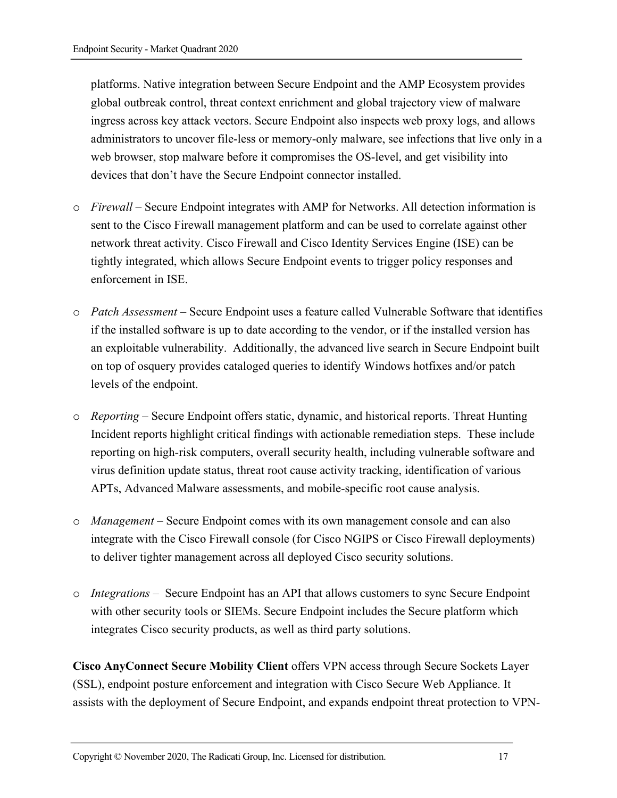platforms. Native integration between Secure Endpoint and the AMP Ecosystem provides global outbreak control, threat context enrichment and global trajectory view of malware ingress across key attack vectors. Secure Endpoint also inspects web proxy logs, and allows administrators to uncover file-less or memory-only malware, see infections that live only in a web browser, stop malware before it compromises the OS-level, and get visibility into devices that don't have the Secure Endpoint connector installed.

- o *Firewall* Secure Endpoint integrates with AMP for Networks. All detection information is sent to the Cisco Firewall management platform and can be used to correlate against other network threat activity. Cisco Firewall and Cisco Identity Services Engine (ISE) can be tightly integrated, which allows Secure Endpoint events to trigger policy responses and enforcement in ISE.
- o *Patch Assessment* Secure Endpoint uses a feature called Vulnerable Software that identifies if the installed software is up to date according to the vendor, or if the installed version has an exploitable vulnerability. Additionally, the advanced live search in Secure Endpoint built on top of osquery provides cataloged queries to identify Windows hotfixes and/or patch levels of the endpoint.
- o *Reporting*  Secure Endpoint offers static, dynamic, and historical reports. Threat Hunting Incident reports highlight critical findings with actionable remediation steps. These include reporting on high-risk computers, overall security health, including vulnerable software and virus definition update status, threat root cause activity tracking, identification of various APTs, Advanced Malware assessments, and mobile-specific root cause analysis.
- o *Management*  Secure Endpoint comes with its own management console and can also integrate with the Cisco Firewall console (for Cisco NGIPS or Cisco Firewall deployments) to deliver tighter management across all deployed Cisco security solutions.
- o *Integrations* Secure Endpoint has an API that allows customers to sync Secure Endpoint with other security tools or SIEMs. Secure Endpoint includes the Secure platform which integrates Cisco security products, as well as third party solutions.

**Cisco AnyConnect Secure Mobility Client** offers VPN access through Secure Sockets Layer (SSL), endpoint posture enforcement and integration with Cisco Secure Web Appliance. It assists with the deployment of Secure Endpoint, and expands endpoint threat protection to VPN-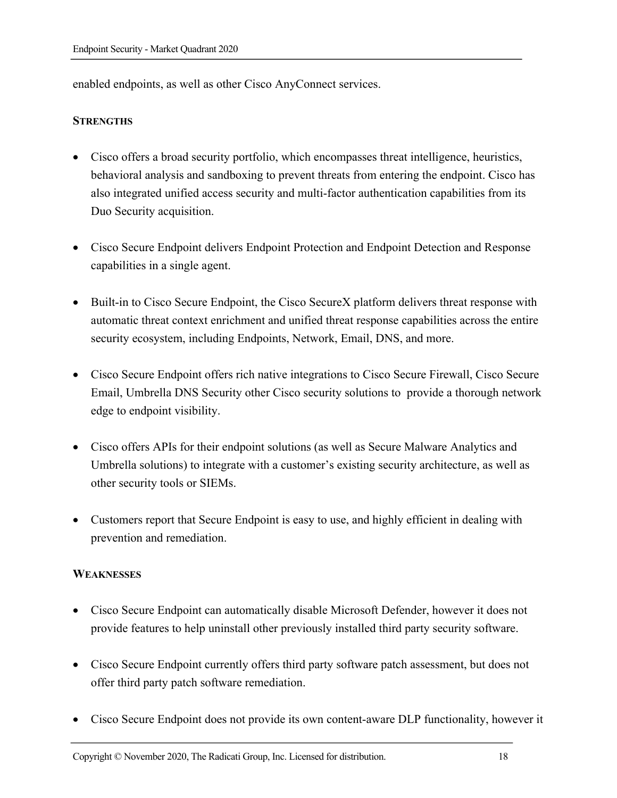enabled endpoints, as well as other Cisco AnyConnect services.

#### **STRENGTHS**

- Cisco offers a broad security portfolio, which encompasses threat intelligence, heuristics, behavioral analysis and sandboxing to prevent threats from entering the endpoint. Cisco has also integrated unified access security and multi-factor authentication capabilities from its Duo Security acquisition.
- Cisco Secure Endpoint delivers Endpoint Protection and Endpoint Detection and Response capabilities in a single agent.
- Built-in to Cisco Secure Endpoint, the Cisco SecureX platform delivers threat response with automatic threat context enrichment and unified threat response capabilities across the entire security ecosystem, including Endpoints, Network, Email, DNS, and more.
- Cisco Secure Endpoint offers rich native integrations to Cisco Secure Firewall, Cisco Secure Email, Umbrella DNS Security other Cisco security solutions to provide a thorough network edge to endpoint visibility.
- Cisco offers APIs for their endpoint solutions (as well as Secure Malware Analytics and Umbrella solutions) to integrate with a customer's existing security architecture, as well as other security tools or SIEMs.
- Customers report that Secure Endpoint is easy to use, and highly efficient in dealing with prevention and remediation.

#### **WEAKNESSES**

- Cisco Secure Endpoint can automatically disable Microsoft Defender, however it does not provide features to help uninstall other previously installed third party security software.
- Cisco Secure Endpoint currently offers third party software patch assessment, but does not offer third party patch software remediation.
- Cisco Secure Endpoint does not provide its own content-aware DLP functionality, however it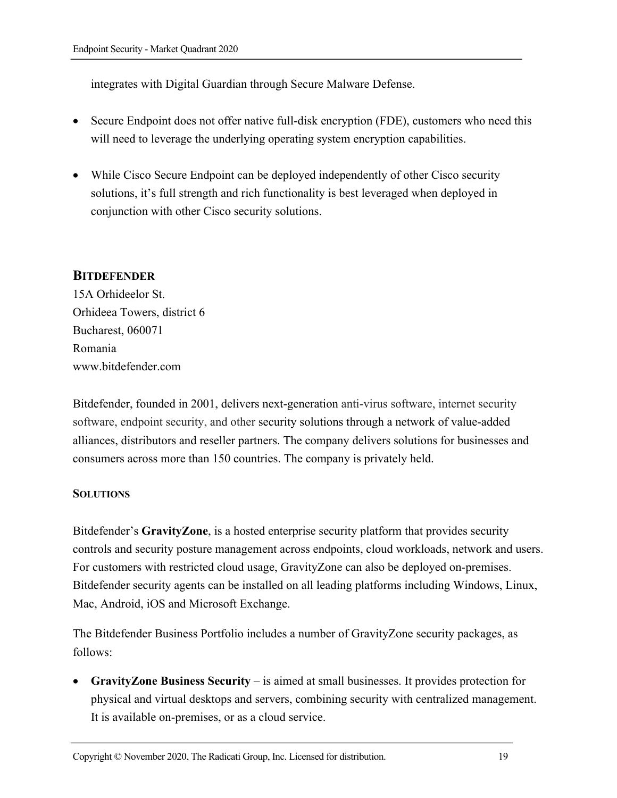integrates with Digital Guardian through Secure Malware Defense.

- Secure Endpoint does not offer native full-disk encryption (FDE), customers who need this will need to leverage the underlying operating system encryption capabilities.
- While Cisco Secure Endpoint can be deployed independently of other Cisco security solutions, it's full strength and rich functionality is best leveraged when deployed in conjunction with other Cisco security solutions.

# **BITDEFENDER**

15A Orhideelor St. Orhideea Towers, district 6 Bucharest, 060071 Romania www.bitdefender.com

Bitdefender, founded in 2001, delivers next-generation anti-virus software, internet security software, endpoint security, and other security solutions through a network of value-added alliances, distributors and reseller partners. The company delivers solutions for businesses and consumers across more than 150 countries. The company is privately held.

#### **SOLUTIONS**

Bitdefender's **GravityZone**, is a hosted enterprise security platform that provides security controls and security posture management across endpoints, cloud workloads, network and users. For customers with restricted cloud usage, GravityZone can also be deployed on-premises. Bitdefender security agents can be installed on all leading platforms including Windows, Linux, Mac, Android, iOS and Microsoft Exchange.

The Bitdefender Business Portfolio includes a number of GravityZone security packages, as follows:

• **GravityZone Business Security** – is aimed at small businesses. It provides protection for physical and virtual desktops and servers, combining security with centralized management. It is available on-premises, or as a cloud service.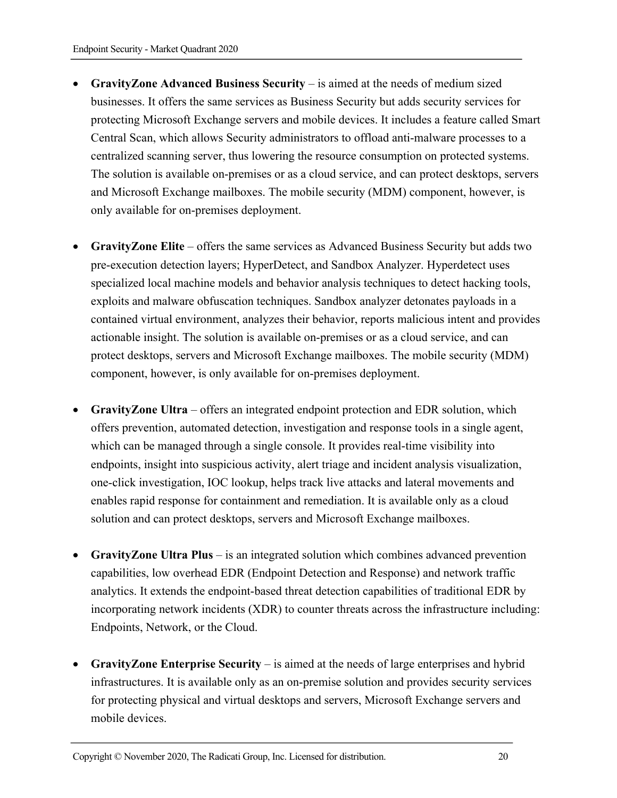- **GravityZone Advanced Business Security** is aimed at the needs of medium sized businesses. It offers the same services as Business Security but adds security services for protecting Microsoft Exchange servers and mobile devices. It includes a feature called Smart Central Scan, which allows Security administrators to offload anti-malware processes to a centralized scanning server, thus lowering the resource consumption on protected systems. The solution is available on-premises or as a cloud service, and can protect desktops, servers and Microsoft Exchange mailboxes. The mobile security (MDM) component, however, is only available for on-premises deployment.
- **GravityZone Elite** offers the same services as Advanced Business Security but adds two pre-execution detection layers; HyperDetect, and Sandbox Analyzer. Hyperdetect uses specialized local machine models and behavior analysis techniques to detect hacking tools, exploits and malware obfuscation techniques. Sandbox analyzer detonates payloads in a contained virtual environment, analyzes their behavior, reports malicious intent and provides actionable insight. The solution is available on-premises or as a cloud service, and can protect desktops, servers and Microsoft Exchange mailboxes. The mobile security (MDM) component, however, is only available for on-premises deployment.
- **GravityZone Ultra**  offers an integrated endpoint protection and EDR solution, which offers prevention, automated detection, investigation and response tools in a single agent, which can be managed through a single console. It provides real-time visibility into endpoints, insight into suspicious activity, alert triage and incident analysis visualization, one-click investigation, IOC lookup, helps track live attacks and lateral movements and enables rapid response for containment and remediation. It is available only as a cloud solution and can protect desktops, servers and Microsoft Exchange mailboxes.
- **GravityZone Ultra Plus**  is an integrated solution which combines advanced prevention capabilities, low overhead EDR (Endpoint Detection and Response) and network traffic analytics. It extends the endpoint-based threat detection capabilities of traditional EDR by incorporating network incidents (XDR) to counter threats across the infrastructure including: Endpoints, Network, or the Cloud.
- **GravityZone Enterprise Security**  is aimed at the needs of large enterprises and hybrid infrastructures. It is available only as an on-premise solution and provides security services for protecting physical and virtual desktops and servers, Microsoft Exchange servers and mobile devices.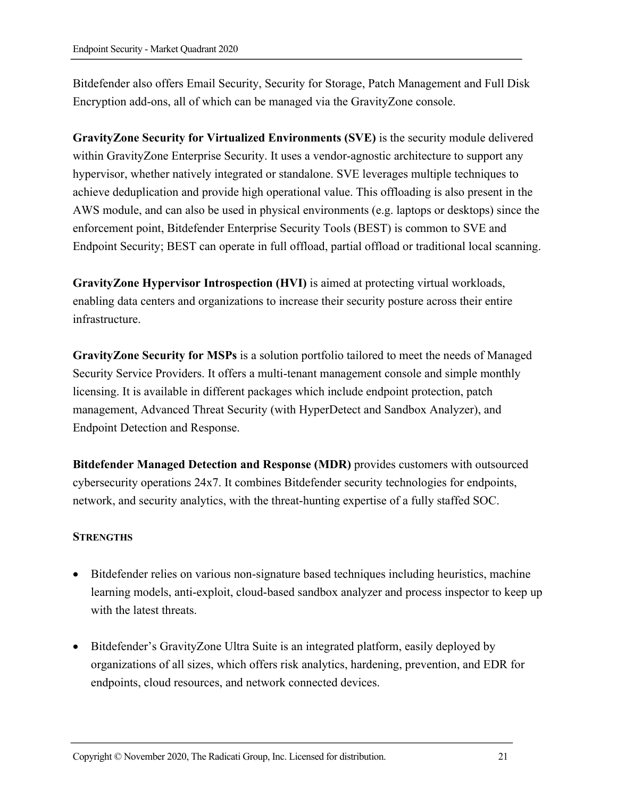Bitdefender also offers Email Security, Security for Storage, Patch Management and Full Disk Encryption add-ons, all of which can be managed via the GravityZone console.

**GravityZone Security for Virtualized Environments (SVE)** is the security module delivered within GravityZone Enterprise Security. It uses a vendor-agnostic architecture to support any hypervisor, whether natively integrated or standalone. SVE leverages multiple techniques to achieve deduplication and provide high operational value. This offloading is also present in the AWS module, and can also be used in physical environments (e.g. laptops or desktops) since the enforcement point, Bitdefender Enterprise Security Tools (BEST) is common to SVE and Endpoint Security; BEST can operate in full offload, partial offload or traditional local scanning.

**GravityZone Hypervisor Introspection (HVI)** is aimed at protecting virtual workloads, enabling data centers and organizations to increase their security posture across their entire infrastructure.

**GravityZone Security for MSPs** is a solution portfolio tailored to meet the needs of Managed Security Service Providers. It offers a multi-tenant management console and simple monthly licensing. It is available in different packages which include endpoint protection, patch management, Advanced Threat Security (with HyperDetect and Sandbox Analyzer), and Endpoint Detection and Response.

**Bitdefender Managed Detection and Response (MDR)** provides customers with outsourced cybersecurity operations 24x7. It combines Bitdefender security technologies for endpoints, network, and security analytics, with the threat-hunting expertise of a fully staffed SOC.

#### **STRENGTHS**

- Bitdefender relies on various non-signature based techniques including heuristics, machine learning models, anti-exploit, cloud-based sandbox analyzer and process inspector to keep up with the latest threats.
- Bitdefender's GravityZone Ultra Suite is an integrated platform, easily deployed by organizations of all sizes, which offers risk analytics, hardening, prevention, and EDR for endpoints, cloud resources, and network connected devices.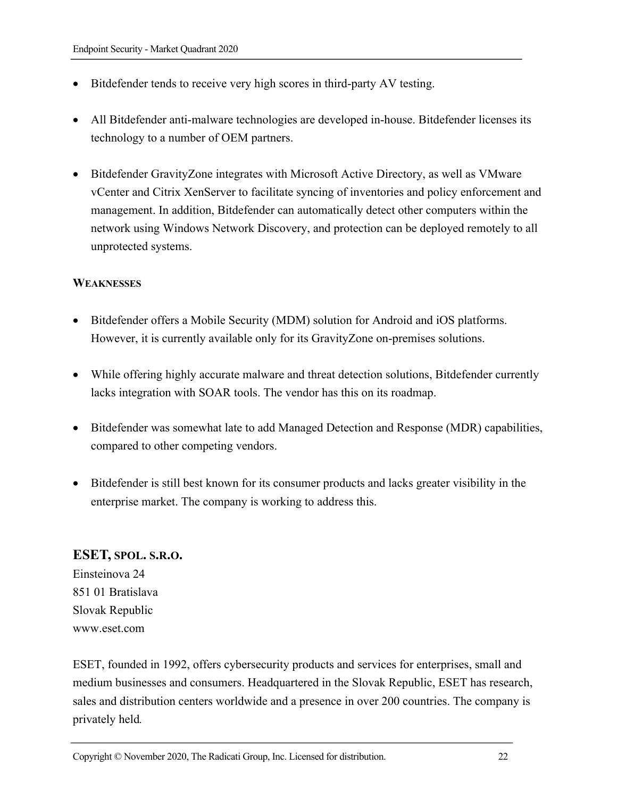- Bitdefender tends to receive very high scores in third-party AV testing.
- All Bitdefender anti-malware technologies are developed in-house. Bitdefender licenses its technology to a number of OEM partners.
- Bitdefender GravityZone integrates with Microsoft Active Directory, as well as VMware vCenter and Citrix XenServer to facilitate syncing of inventories and policy enforcement and management. In addition, Bitdefender can automatically detect other computers within the network using Windows Network Discovery, and protection can be deployed remotely to all unprotected systems.

#### **WEAKNESSES**

- Bitdefender offers a Mobile Security (MDM) solution for Android and iOS platforms. However, it is currently available only for its GravityZone on-premises solutions.
- While offering highly accurate malware and threat detection solutions, Bitdefender currently lacks integration with SOAR tools. The vendor has this on its roadmap.
- Bitdefender was somewhat late to add Managed Detection and Response (MDR) capabilities, compared to other competing vendors.
- Bitdefender is still best known for its consumer products and lacks greater visibility in the enterprise market. The company is working to address this.

#### **ESET, SPOL. S.R.O.**

Einsteinova 24 851 01 Bratislava Slovak Republic www.eset.com

ESET, founded in 1992, offers cybersecurity products and services for enterprises, small and medium businesses and consumers. Headquartered in the Slovak Republic, ESET has research, sales and distribution centers worldwide and a presence in over 200 countries. The company is privately held*.*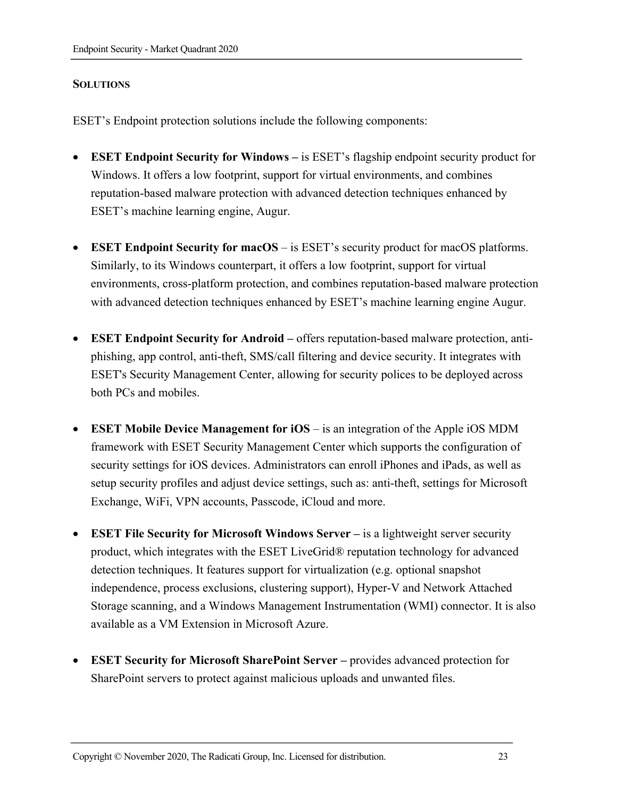#### **SOLUTIONS**

ESET's Endpoint protection solutions include the following components:

- **ESET Endpoint Security for Windows –** is ESET's flagship endpoint security product for Windows. It offers a low footprint, support for virtual environments, and combines reputation-based malware protection with advanced detection techniques enhanced by ESET's machine learning engine, Augur.
- **ESET Endpoint Security for macOS** is ESET's security product for macOS platforms. Similarly, to its Windows counterpart, it offers a low footprint, support for virtual environments, cross-platform protection, and combines reputation-based malware protection with advanced detection techniques enhanced by ESET's machine learning engine Augur.
- **ESET Endpoint Security for Android –** offers reputation-based malware protection, antiphishing, app control, anti-theft, SMS/call filtering and device security. It integrates with ESET's Security Management Center, allowing for security polices to be deployed across both PCs and mobiles.
- **ESET Mobile Device Management for iOS** is an integration of the Apple iOS MDM framework with ESET Security Management Center which supports the configuration of security settings for iOS devices. Administrators can enroll iPhones and iPads, as well as setup security profiles and adjust device settings, such as: anti-theft, settings for Microsoft Exchange, WiFi, VPN accounts, Passcode, iCloud and more.
- **ESET File Security for Microsoft Windows Server** is a lightweight server security product, which integrates with the ESET LiveGrid® reputation technology for advanced detection techniques. It features support for virtualization (e.g. optional snapshot independence, process exclusions, clustering support), Hyper-V and Network Attached Storage scanning, and a Windows Management Instrumentation (WMI) connector. It is also available as a VM Extension in Microsoft Azure.
- **ESET Security for Microsoft SharePoint Server –** provides advanced protection for SharePoint servers to protect against malicious uploads and unwanted files.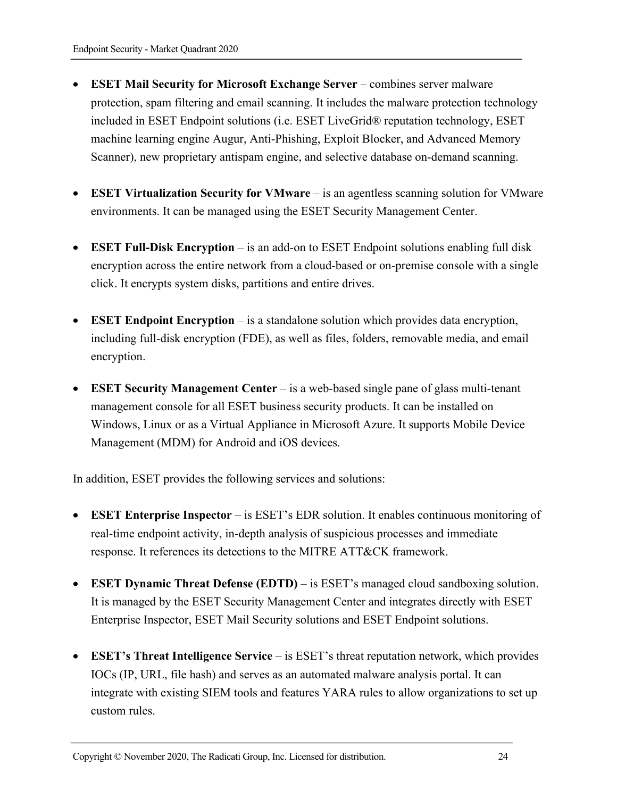- **ESET Mail Security for Microsoft Exchange Server** combines server malware protection, spam filtering and email scanning. It includes the malware protection technology included in ESET Endpoint solutions (i.e. ESET LiveGrid® reputation technology, ESET machine learning engine Augur, Anti-Phishing, Exploit Blocker, and Advanced Memory Scanner), new proprietary antispam engine, and selective database on-demand scanning.
- **ESET Virtualization Security for VMware** is an agentless scanning solution for VMware environments. It can be managed using the ESET Security Management Center.
- **ESET Full-Disk Encryption** is an add-on to ESET Endpoint solutions enabling full disk encryption across the entire network from a cloud-based or on-premise console with a single click. It encrypts system disks, partitions and entire drives.
- **ESET Endpoint Encryption** is a standalone solution which provides data encryption, including full-disk encryption (FDE), as well as files, folders, removable media, and email encryption.
- **ESET Security Management Center** is a web-based single pane of glass multi-tenant management console for all ESET business security products. It can be installed on Windows, Linux or as a Virtual Appliance in Microsoft Azure. It supports Mobile Device Management (MDM) for Android and iOS devices.

In addition, ESET provides the following services and solutions:

- **ESET Enterprise Inspector** is ESET's EDR solution. It enables continuous monitoring of real-time endpoint activity, in-depth analysis of suspicious processes and immediate response. It references its detections to the MITRE ATT&CK framework.
- **ESET Dynamic Threat Defense (EDTD)** is ESET's managed cloud sandboxing solution. It is managed by the ESET Security Management Center and integrates directly with ESET Enterprise Inspector, ESET Mail Security solutions and ESET Endpoint solutions.
- **ESET's Threat Intelligence Service** is ESET's threat reputation network, which provides IOCs (IP, URL, file hash) and serves as an automated malware analysis portal. It can integrate with existing SIEM tools and features YARA rules to allow organizations to set up custom rules.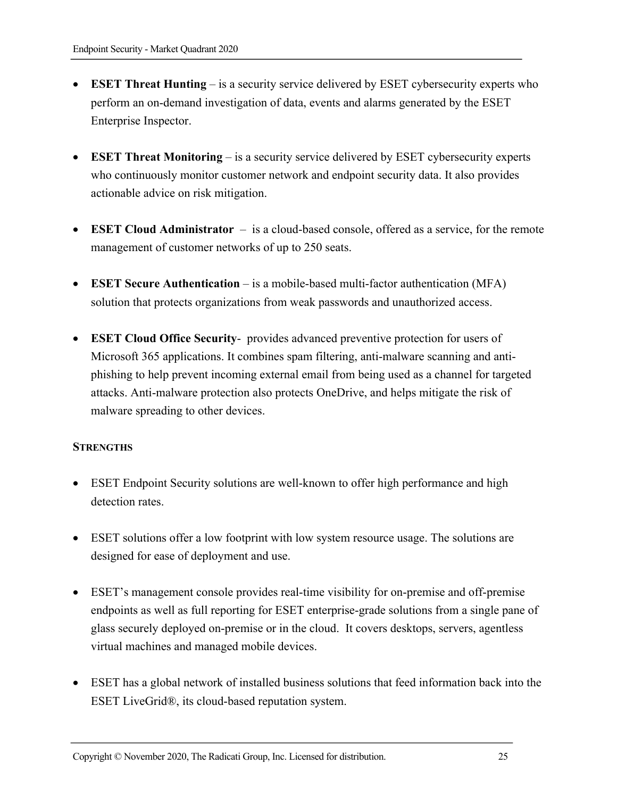- **ESET Threat Hunting** is a security service delivered by ESET cybersecurity experts who perform an on-demand investigation of data, events and alarms generated by the ESET Enterprise Inspector.
- **ESET Threat Monitoring** is a security service delivered by ESET cybersecurity experts who continuously monitor customer network and endpoint security data. It also provides actionable advice on risk mitigation.
- **ESET Cloud Administrator** is a cloud-based console, offered as a service, for the remote management of customer networks of up to 250 seats.
- **ESET Secure Authentication** is a mobile-based multi-factor authentication (MFA) solution that protects organizations from weak passwords and unauthorized access.
- **ESET Cloud Office Security** provides advanced preventive protection for users of Microsoft 365 applications. It combines spam filtering, anti-malware scanning and antiphishing to help prevent incoming external email from being used as a channel for targeted attacks. Anti-malware protection also protects OneDrive, and helps mitigate the risk of malware spreading to other devices.

#### **STRENGTHS**

- ESET Endpoint Security solutions are well-known to offer high performance and high detection rates.
- ESET solutions offer a low footprint with low system resource usage. The solutions are designed for ease of deployment and use.
- ESET's management console provides real-time visibility for on-premise and off-premise endpoints as well as full reporting for ESET enterprise-grade solutions from a single pane of glass securely deployed on-premise or in the cloud. It covers desktops, servers, agentless virtual machines and managed mobile devices.
- ESET has a global network of installed business solutions that feed information back into the ESET LiveGrid®, its cloud-based reputation system.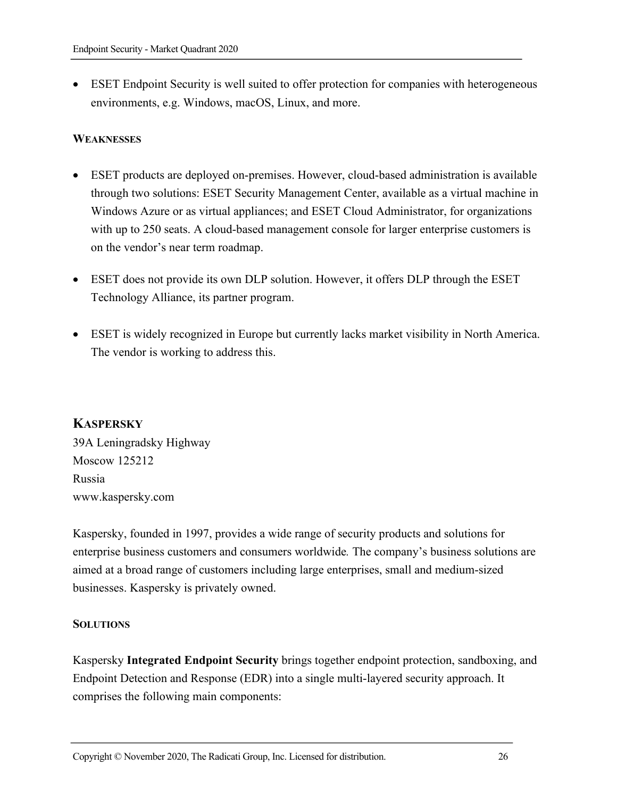• ESET Endpoint Security is well suited to offer protection for companies with heterogeneous environments, e.g. Windows, macOS, Linux, and more.

#### **WEAKNESSES**

- ESET products are deployed on-premises. However, cloud-based administration is available through two solutions: ESET Security Management Center, available as a virtual machine in Windows Azure or as virtual appliances; and ESET Cloud Administrator, for organizations with up to 250 seats. A cloud-based management console for larger enterprise customers is on the vendor's near term roadmap.
- ESET does not provide its own DLP solution. However, it offers DLP through the ESET Technology Alliance, its partner program.
- ESET is widely recognized in Europe but currently lacks market visibility in North America. The vendor is working to address this.

# **KASPERSKY**

39A Leningradsky Highway Moscow 125212 Russia www.kaspersky.com

Kaspersky, founded in 1997, provides a wide range of security products and solutions for enterprise business customers and consumers worldwide*.* The company's business solutions are aimed at a broad range of customers including large enterprises, small and medium-sized businesses. Kaspersky is privately owned.

#### **SOLUTIONS**

Kaspersky **Integrated Endpoint Security** brings together endpoint protection, sandboxing, and Endpoint Detection and Response (EDR) into a single multi-layered security approach. It comprises the following main components: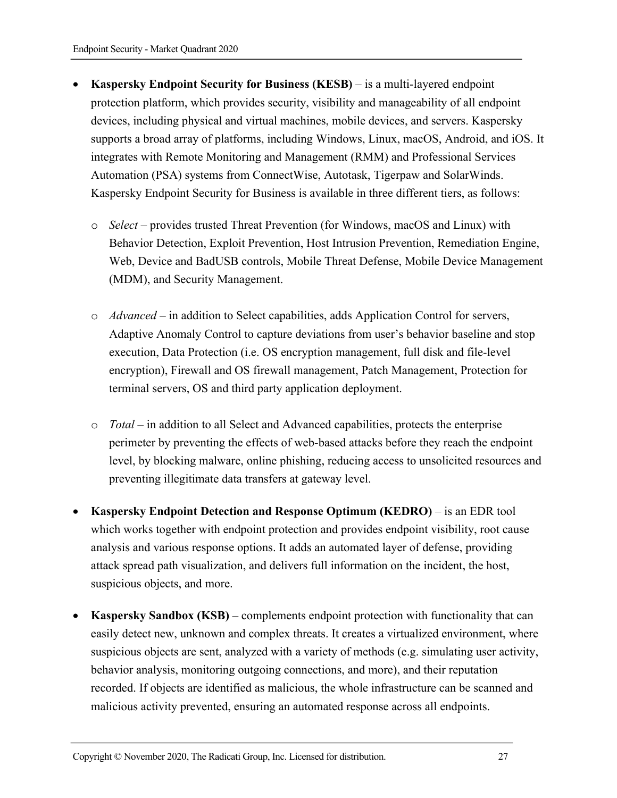- **Kaspersky Endpoint Security for Business (KESB)**  is a multi-layered endpoint protection platform, which provides security, visibility and manageability of all endpoint devices, including physical and virtual machines, mobile devices, and servers. Kaspersky supports a broad array of platforms, including Windows, Linux, macOS, Android, and iOS. It integrates with Remote Monitoring and Management (RMM) and Professional Services Automation (PSA) systems from ConnectWise, Autotask, Tigerpaw and SolarWinds. Kaspersky Endpoint Security for Business is available in three different tiers, as follows:
	- o *Select* provides trusted Threat Prevention (for Windows, macOS and Linux) with Behavior Detection, Exploit Prevention, Host Intrusion Prevention, Remediation Engine, Web, Device and BadUSB controls, Mobile Threat Defense, Mobile Device Management (MDM), and Security Management.
	- o *Advanced* in addition to Select capabilities, adds Application Control for servers, Adaptive Anomaly Control to capture deviations from user's behavior baseline and stop execution, Data Protection (i.e. OS encryption management, full disk and file-level encryption), Firewall and OS firewall management, Patch Management, Protection for terminal servers, OS and third party application deployment.
	- o *Total* in addition to all Select and Advanced capabilities, protects the enterprise perimeter by preventing the effects of web-based attacks before they reach the endpoint level, by blocking malware, online phishing, reducing access to unsolicited resources and preventing illegitimate data transfers at gateway level.
- **Kaspersky Endpoint Detection and Response Optimum (KEDRO)** is an EDR tool which works together with endpoint protection and provides endpoint visibility, root cause analysis and various response options. It adds an automated layer of defense, providing attack spread path visualization, and delivers full information on the incident, the host, suspicious objects, and more.
- **Kaspersky Sandbox (KSB)** complements endpoint protection with functionality that can easily detect new, unknown and complex threats. It creates a virtualized environment, where suspicious objects are sent, analyzed with a variety of methods (e.g. simulating user activity, behavior analysis, monitoring outgoing connections, and more), and their reputation recorded. If objects are identified as malicious, the whole infrastructure can be scanned and malicious activity prevented, ensuring an automated response across all endpoints.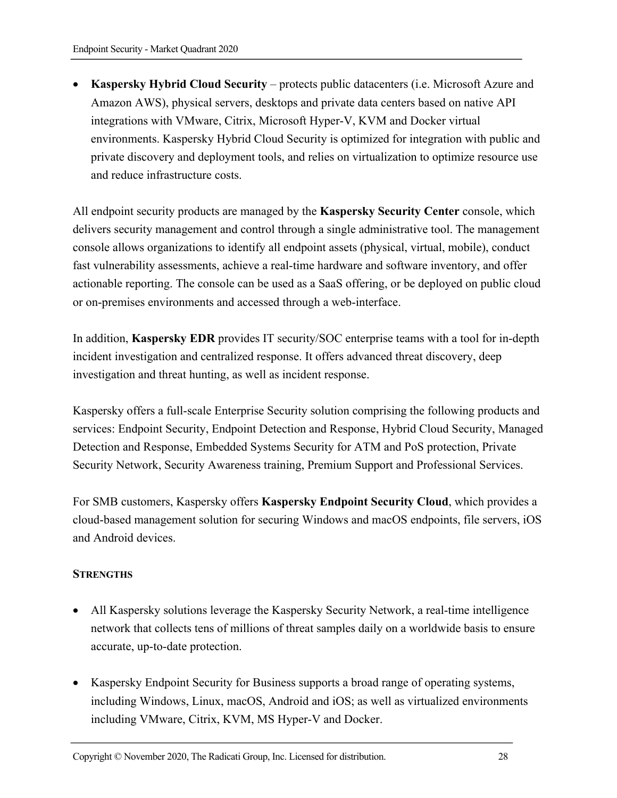• **Kaspersky Hybrid Cloud Security** – protects public datacenters (i.e. Microsoft Azure and Amazon AWS), physical servers, desktops and private data centers based on native API integrations with VMware, Citrix, Microsoft Hyper-V, KVM and Docker virtual environments. Kaspersky Hybrid Cloud Security is optimized for integration with public and private discovery and deployment tools, and relies on virtualization to optimize resource use and reduce infrastructure costs.

All endpoint security products are managed by the **Kaspersky Security Center** console, which delivers security management and control through a single administrative tool. The management console allows organizations to identify all endpoint assets (physical, virtual, mobile), conduct fast vulnerability assessments, achieve a real-time hardware and software inventory, and offer actionable reporting. The console can be used as a SaaS offering, or be deployed on public cloud or on-premises environments and accessed through a web-interface.

In addition, **Kaspersky EDR** provides IT security/SOC enterprise teams with a tool for in-depth incident investigation and centralized response. It offers advanced threat discovery, deep investigation and threat hunting, as well as incident response.

Kaspersky offers a full-scale Enterprise Security solution comprising the following products and services: Endpoint Security, Endpoint Detection and Response, Hybrid Cloud Security, Managed Detection and Response, Embedded Systems Security for ATM and PoS protection, Private Security Network, Security Awareness training, Premium Support and Professional Services.

For SMB customers, Kaspersky offers **Kaspersky Endpoint Security Cloud**, which provides a cloud-based management solution for securing Windows and macOS endpoints, file servers, iOS and Android devices.

#### **STRENGTHS**

- All Kaspersky solutions leverage the Kaspersky Security Network, a real-time intelligence network that collects tens of millions of threat samples daily on a worldwide basis to ensure accurate, up-to-date protection.
- Kaspersky Endpoint Security for Business supports a broad range of operating systems, including Windows, Linux, macOS, Android and iOS; as well as virtualized environments including VMware, Citrix, KVM, MS Hyper-V and Docker.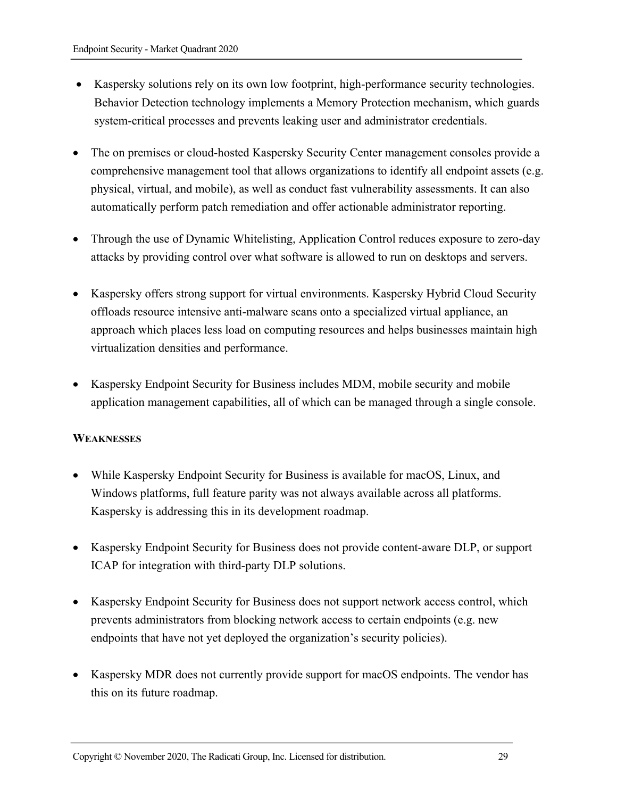- Kaspersky solutions rely on its own low footprint, high-performance security technologies. Behavior Detection technology implements a Memory Protection mechanism, which guards system-critical processes and prevents leaking user and administrator credentials.
- The on premises or cloud-hosted Kaspersky Security Center management consoles provide a comprehensive management tool that allows organizations to identify all endpoint assets (e.g. physical, virtual, and mobile), as well as conduct fast vulnerability assessments. It can also automatically perform patch remediation and offer actionable administrator reporting.
- Through the use of Dynamic Whitelisting, Application Control reduces exposure to zero-day attacks by providing control over what software is allowed to run on desktops and servers.
- Kaspersky offers strong support for virtual environments. Kaspersky Hybrid Cloud Security offloads resource intensive anti-malware scans onto a specialized virtual appliance, an approach which places less load on computing resources and helps businesses maintain high virtualization densities and performance.
- Kaspersky Endpoint Security for Business includes MDM, mobile security and mobile application management capabilities, all of which can be managed through a single console.

#### **WEAKNESSES**

- While Kaspersky Endpoint Security for Business is available for macOS, Linux, and Windows platforms, full feature parity was not always available across all platforms. Kaspersky is addressing this in its development roadmap.
- Kaspersky Endpoint Security for Business does not provide content-aware DLP, or support ICAP for integration with third-party DLP solutions.
- Kaspersky Endpoint Security for Business does not support network access control, which prevents administrators from blocking network access to certain endpoints (e.g. new endpoints that have not yet deployed the organization's security policies).
- Kaspersky MDR does not currently provide support for macOS endpoints. The vendor has this on its future roadmap.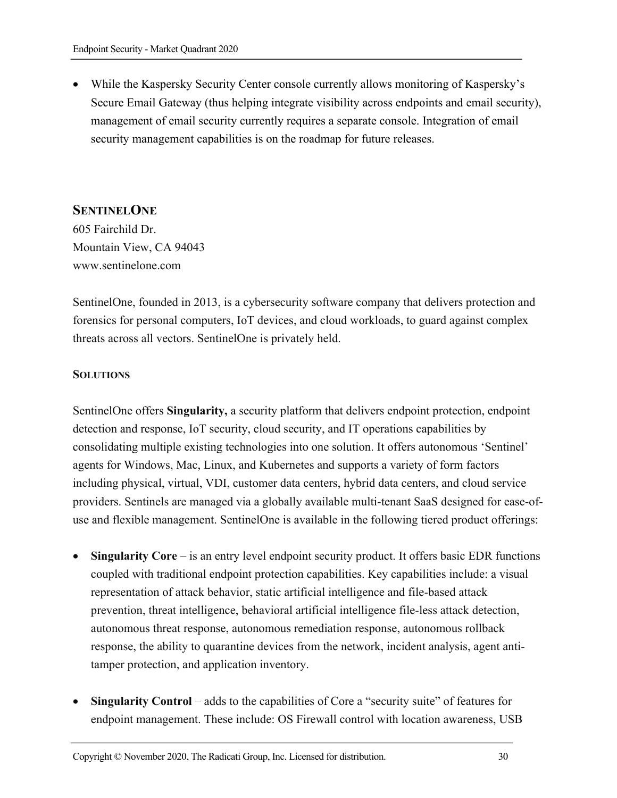• While the Kaspersky Security Center console currently allows monitoring of Kaspersky's Secure Email Gateway (thus helping integrate visibility across endpoints and email security), management of email security currently requires a separate console. Integration of email security management capabilities is on the roadmap for future releases.

# **SENTINELONE**

605 Fairchild Dr. Mountain View, CA 94043 www.sentinelone.com

SentinelOne, founded in 2013, is a cybersecurity software company that delivers protection and forensics for personal computers, IoT devices, and cloud workloads, to guard against complex threats across all vectors. SentinelOne is privately held.

#### **SOLUTIONS**

SentinelOne offers **Singularity,** a security platform that delivers endpoint protection, endpoint detection and response, IoT security, cloud security, and IT operations capabilities by consolidating multiple existing technologies into one solution. It offers autonomous 'Sentinel' agents for Windows, Mac, Linux, and Kubernetes and supports a variety of form factors including physical, virtual, VDI, customer data centers, hybrid data centers, and cloud service providers. Sentinels are managed via a globally available multi-tenant SaaS designed for ease-ofuse and flexible management. SentinelOne is available in the following tiered product offerings:

- **Singularity Core** is an entry level endpoint security product. It offers basic EDR functions coupled with traditional endpoint protection capabilities. Key capabilities include: a visual representation of attack behavior, static artificial intelligence and file-based attack prevention, threat intelligence, behavioral artificial intelligence file-less attack detection, autonomous threat response, autonomous remediation response, autonomous rollback response, the ability to quarantine devices from the network, incident analysis, agent antitamper protection, and application inventory.
- **Singularity Control** adds to the capabilities of Core a "security suite" of features for endpoint management. These include: OS Firewall control with location awareness, USB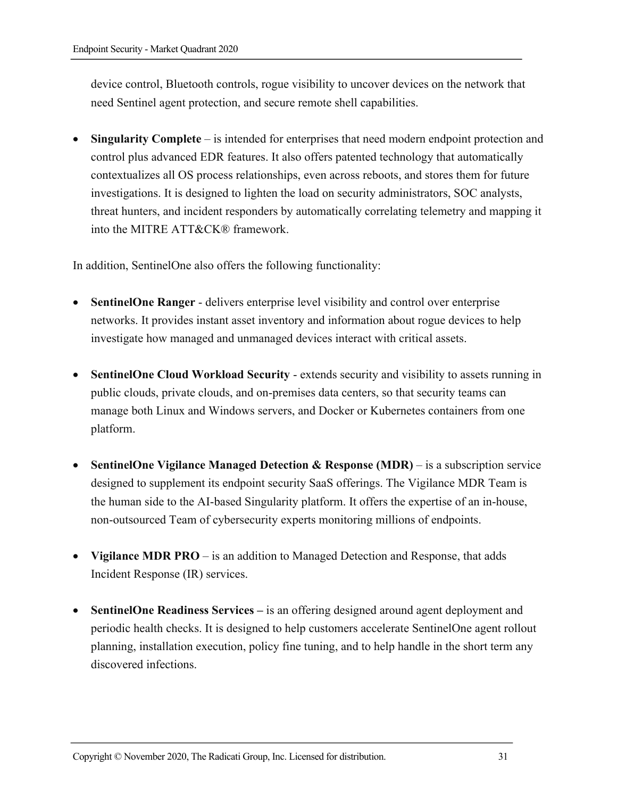device control, Bluetooth controls, rogue visibility to uncover devices on the network that need Sentinel agent protection, and secure remote shell capabilities.

• **Singularity Complete** – is intended for enterprises that need modern endpoint protection and control plus advanced EDR features. It also offers patented technology that automatically contextualizes all OS process relationships, even across reboots, and stores them for future investigations. It is designed to lighten the load on security administrators, SOC analysts, threat hunters, and incident responders by automatically correlating telemetry and mapping it into the MITRE ATT&CK® framework.

In addition, SentinelOne also offers the following functionality:

- **SentinelOne Ranger** delivers enterprise level visibility and control over enterprise networks. It provides instant asset inventory and information about rogue devices to help investigate how managed and unmanaged devices interact with critical assets.
- **SentinelOne Cloud Workload Security** extends security and visibility to assets running in public clouds, private clouds, and on-premises data centers, so that security teams can manage both Linux and Windows servers, and Docker or Kubernetes containers from one platform.
- **SentinelOne Vigilance Managed Detection & Response (MDR)** is a subscription service designed to supplement its endpoint security SaaS offerings. The Vigilance MDR Team is the human side to the AI-based Singularity platform. It offers the expertise of an in-house, non-outsourced Team of cybersecurity experts monitoring millions of endpoints.
- **Vigilance MDR PRO** is an addition to Managed Detection and Response, that adds Incident Response (IR) services.
- **SentinelOne Readiness Services** is an offering designed around agent deployment and periodic health checks. It is designed to help customers accelerate SentinelOne agent rollout planning, installation execution, policy fine tuning, and to help handle in the short term any discovered infections.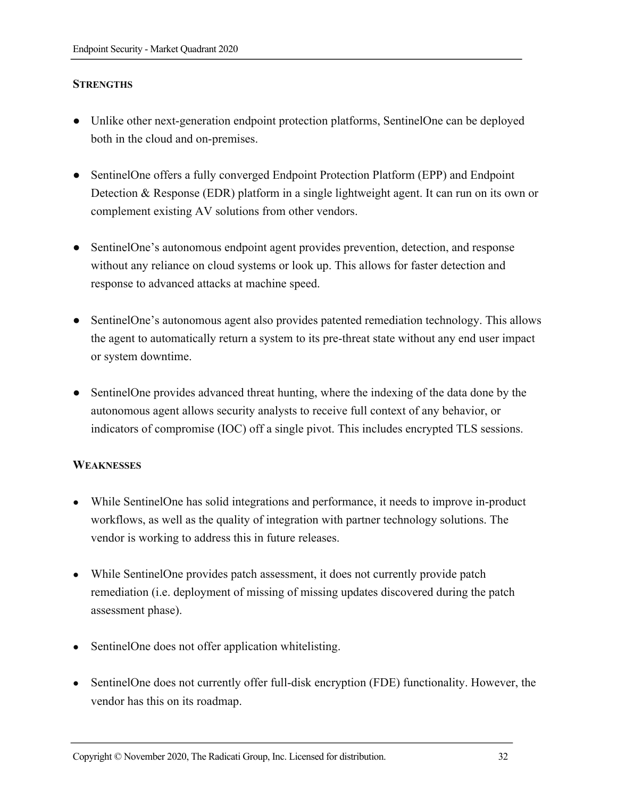#### **STRENGTHS**

- Unlike other next-generation endpoint protection platforms, SentinelOne can be deployed both in the cloud and on-premises.
- SentinelOne offers a fully converged Endpoint Protection Platform (EPP) and Endpoint Detection & Response (EDR) platform in a single lightweight agent. It can run on its own or complement existing AV solutions from other vendors.
- SentinelOne's autonomous endpoint agent provides prevention, detection, and response without any reliance on cloud systems or look up. This allows for faster detection and response to advanced attacks at machine speed.
- SentinelOne's autonomous agent also provides patented remediation technology. This allows the agent to automatically return a system to its pre-threat state without any end user impact or system downtime.
- SentinelOne provides advanced threat hunting, where the indexing of the data done by the autonomous agent allows security analysts to receive full context of any behavior, or indicators of compromise (IOC) off a single pivot. This includes encrypted TLS sessions.

#### **WEAKNESSES**

- While SentinelOne has solid integrations and performance, it needs to improve in-product workflows, as well as the quality of integration with partner technology solutions. The vendor is working to address this in future releases.
- While SentinelOne provides patch assessment, it does not currently provide patch remediation (i.e. deployment of missing of missing updates discovered during the patch assessment phase).
- Sentinel One does not offer application white listing.
- SentinelOne does not currently offer full-disk encryption (FDE) functionality. However, the vendor has this on its roadmap.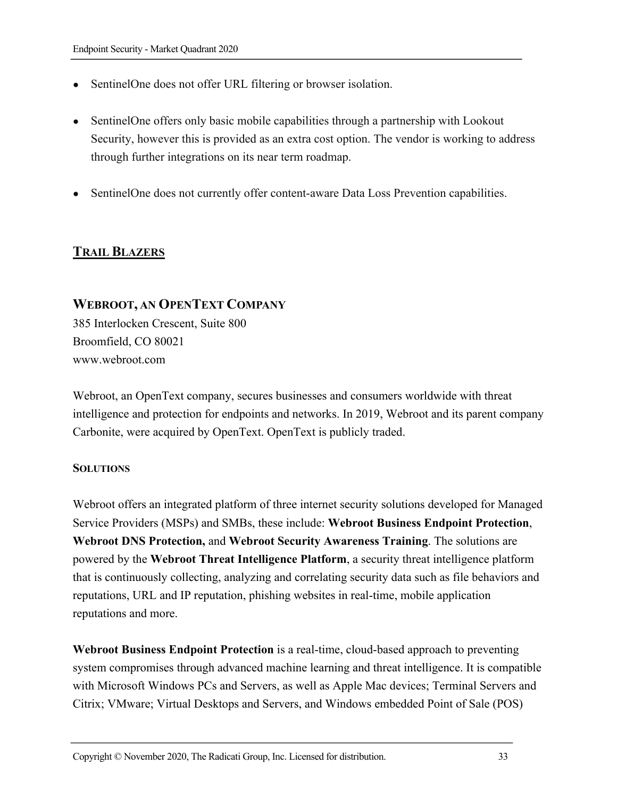- SentinelOne does not offer URL filtering or browser isolation.
- Sentinel One offers only basic mobile capabilities through a partnership with Lookout Security, however this is provided as an extra cost option. The vendor is working to address through further integrations on its near term roadmap.
- SentinelOne does not currently offer content-aware Data Loss Prevention capabilities.

# **TRAIL BLAZERS**

# **WEBROOT, AN OPENTEXT COMPANY**

385 Interlocken Crescent, Suite 800 Broomfield, CO 80021 www.webroot.com

Webroot, an OpenText company, secures businesses and consumers worldwide with threat intelligence and protection for endpoints and networks. In 2019, Webroot and its parent company Carbonite, were acquired by OpenText. OpenText is publicly traded.

#### **SOLUTIONS**

Webroot offers an integrated platform of three internet security solutions developed for Managed Service Providers (MSPs) and SMBs, these include: **Webroot Business Endpoint Protection**, **Webroot DNS Protection,** and **Webroot Security Awareness Training**. The solutions are powered by the **Webroot Threat Intelligence Platform**, a security threat intelligence platform that is continuously collecting, analyzing and correlating security data such as file behaviors and reputations, URL and IP reputation, phishing websites in real-time, mobile application reputations and more.

**Webroot Business Endpoint Protection** is a real-time, cloud-based approach to preventing system compromises through advanced machine learning and threat intelligence. It is compatible with Microsoft Windows PCs and Servers, as well as Apple Mac devices; Terminal Servers and Citrix; VMware; Virtual Desktops and Servers, and Windows embedded Point of Sale (POS)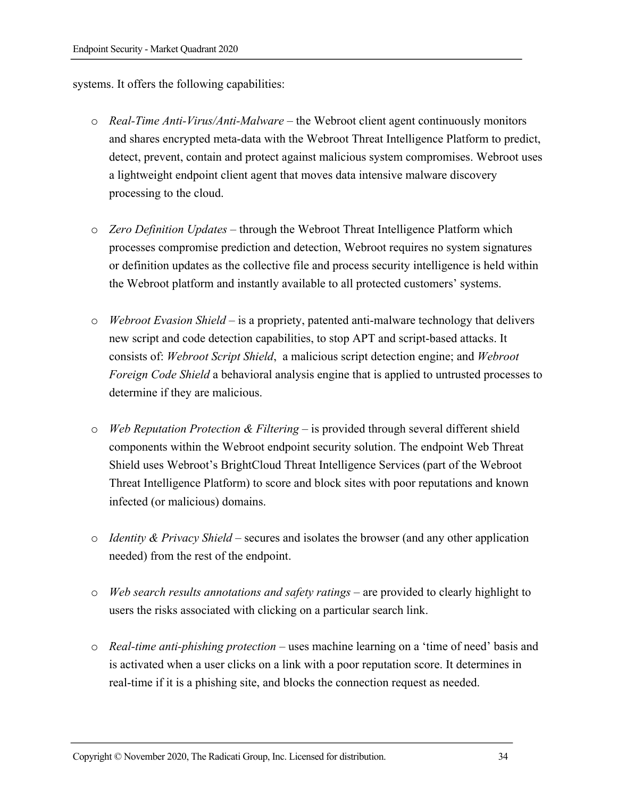systems. It offers the following capabilities:

- o *Real-Time Anti-Virus/Anti-Malware –* the Webroot client agent continuously monitors and shares encrypted meta-data with the Webroot Threat Intelligence Platform to predict, detect, prevent, contain and protect against malicious system compromises. Webroot uses a lightweight endpoint client agent that moves data intensive malware discovery processing to the cloud.
- o *Zero Definition Updates –* through the Webroot Threat Intelligence Platform which processes compromise prediction and detection, Webroot requires no system signatures or definition updates as the collective file and process security intelligence is held within the Webroot platform and instantly available to all protected customers' systems.
- o *Webroot Evasion Shield –* is a propriety, patented anti-malware technology that delivers new script and code detection capabilities, to stop APT and script-based attacks. It consists of: *Webroot Script Shield*, a malicious script detection engine; and *Webroot Foreign Code Shield* a behavioral analysis engine that is applied to untrusted processes to determine if they are malicious.
- o *Web Reputation Protection & Filtering –* is provided through several different shield components within the Webroot endpoint security solution. The endpoint Web Threat Shield uses Webroot's BrightCloud Threat Intelligence Services (part of the Webroot Threat Intelligence Platform) to score and block sites with poor reputations and known infected (or malicious) domains.
- o *Identity & Privacy Shield* secures and isolates the browser (and any other application needed) from the rest of the endpoint.
- o *Web search results annotations and safety ratings* are provided to clearly highlight to users the risks associated with clicking on a particular search link.
- o *Real-time anti-phishing protection*  uses machine learning on a 'time of need' basis and is activated when a user clicks on a link with a poor reputation score. It determines in real-time if it is a phishing site, and blocks the connection request as needed.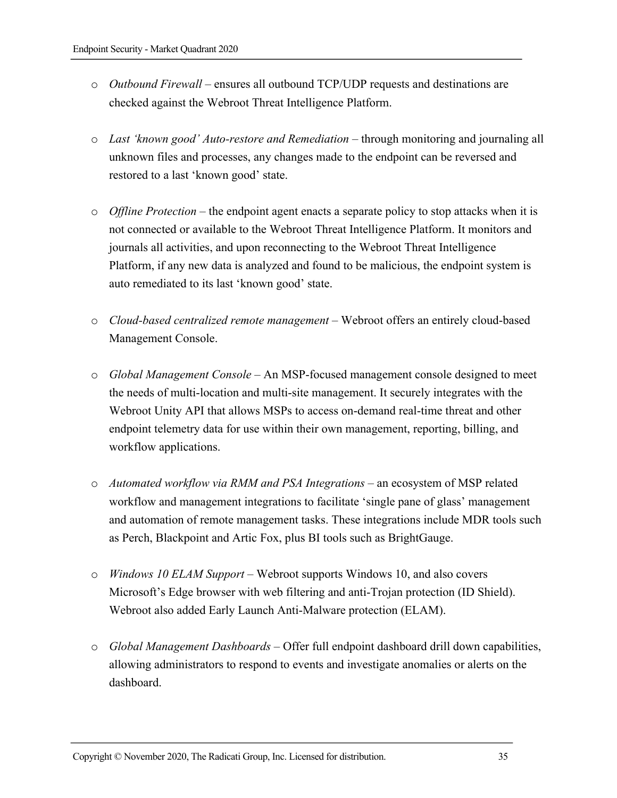- o *Outbound Firewall –* ensures all outbound TCP/UDP requests and destinations are checked against the Webroot Threat Intelligence Platform.
- o *Last 'known good' Auto-restore and Remediation* through monitoring and journaling all unknown files and processes, any changes made to the endpoint can be reversed and restored to a last 'known good' state.
- o *Offline Protection –* the endpoint agent enacts a separate policy to stop attacks when it is not connected or available to the Webroot Threat Intelligence Platform. It monitors and journals all activities, and upon reconnecting to the Webroot Threat Intelligence Platform, if any new data is analyzed and found to be malicious, the endpoint system is auto remediated to its last 'known good' state.
- o *Cloud-based centralized remote management –* Webroot offers an entirely cloud-based Management Console.
- o *Global Management Console* An MSP-focused management console designed to meet the needs of multi-location and multi-site management. It securely integrates with the Webroot Unity API that allows MSPs to access on-demand real-time threat and other endpoint telemetry data for use within their own management, reporting, billing, and workflow applications.
- o *Automated workflow via RMM and PSA Integrations* an ecosystem of MSP related workflow and management integrations to facilitate 'single pane of glass' management and automation of remote management tasks. These integrations include MDR tools such as Perch, Blackpoint and Artic Fox, plus BI tools such as BrightGauge.
- o *Windows 10 ELAM Support –* Webroot supports Windows 10, and also covers Microsoft's Edge browser with web filtering and anti-Trojan protection (ID Shield). Webroot also added Early Launch Anti-Malware protection (ELAM).
- o *Global Management Dashboards –* Offer full endpoint dashboard drill down capabilities, allowing administrators to respond to events and investigate anomalies or alerts on the dashboard.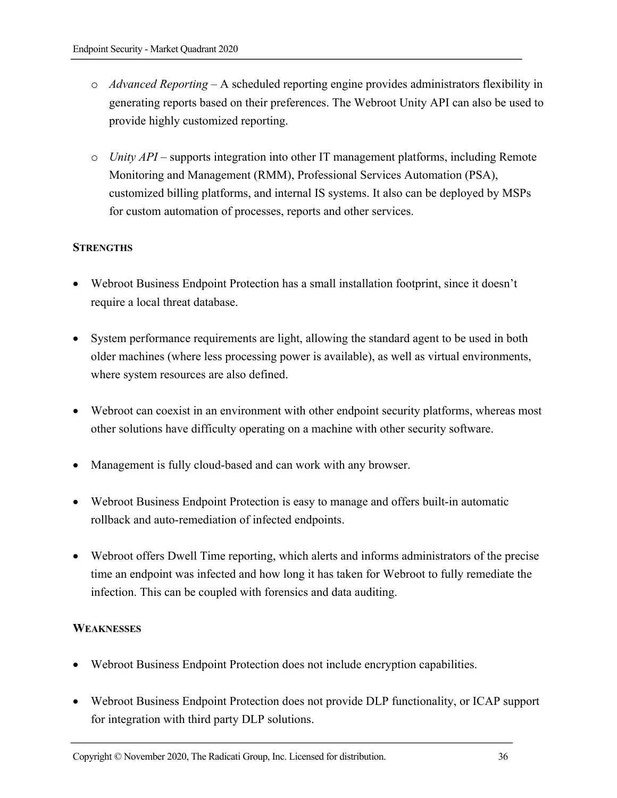- o *Advanced Reporting* A scheduled reporting engine provides administrators flexibility in generating reports based on their preferences. The Webroot Unity API can also be used to provide highly customized reporting.
- o *Unity API –* supports integration into other IT management platforms, including Remote Monitoring and Management (RMM), Professional Services Automation (PSA), customized billing platforms, and internal IS systems. It also can be deployed by MSPs for custom automation of processes, reports and other services.

#### **STRENGTHS**

- Webroot Business Endpoint Protection has a small installation footprint, since it doesn't require a local threat database.
- System performance requirements are light, allowing the standard agent to be used in both older machines (where less processing power is available), as well as virtual environments, where system resources are also defined.
- Webroot can coexist in an environment with other endpoint security platforms, whereas most other solutions have difficulty operating on a machine with other security software.
- Management is fully cloud-based and can work with any browser.
- Webroot Business Endpoint Protection is easy to manage and offers built-in automatic rollback and auto-remediation of infected endpoints.
- Webroot offers Dwell Time reporting, which alerts and informs administrators of the precise time an endpoint was infected and how long it has taken for Webroot to fully remediate the infection. This can be coupled with forensics and data auditing.

#### **WEAKNESSES**

- Webroot Business Endpoint Protection does not include encryption capabilities.
- Webroot Business Endpoint Protection does not provide DLP functionality, or ICAP support for integration with third party DLP solutions.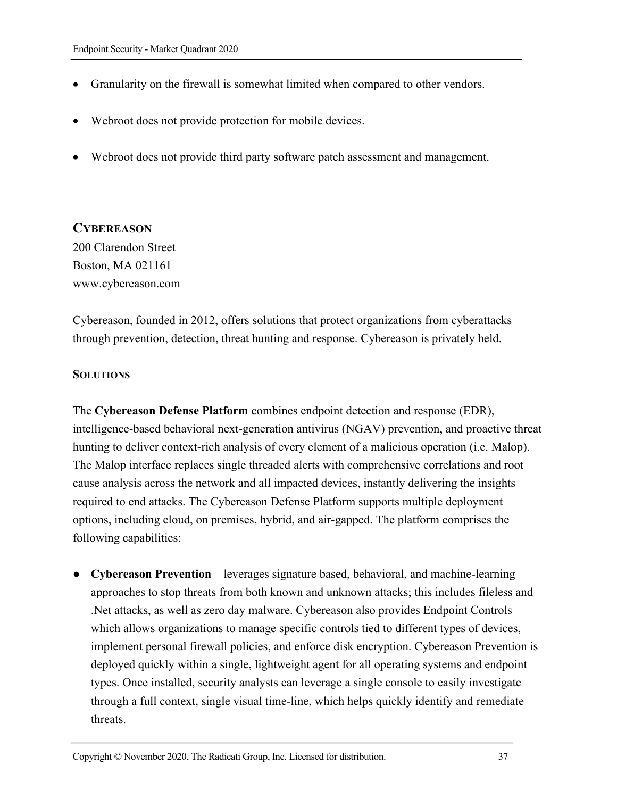- Granularity on the firewall is somewhat limited when compared to other vendors.
- Webroot does not provide protection for mobile devices.
- Webroot does not provide third party software patch assessment and management.

#### **CYBEREASON**

200 Clarendon Street Boston, MA 021161 www.cybereason.com

Cybereason, founded in 2012, offers solutions that protect organizations from cyberattacks through prevention, detection, threat hunting and response. Cybereason is privately held.

#### **SOLUTIONS**

The **Cybereason Defense Platform** combines endpoint detection and response (EDR), intelligence-based behavioral next-generation antivirus (NGAV) prevention, and proactive threat hunting to deliver context-rich analysis of every element of a malicious operation (i.e. Malop). The Malop interface replaces single threaded alerts with comprehensive correlations and root cause analysis across the network and all impacted devices, instantly delivering the insights required to end attacks. The Cybereason Defense Platform supports multiple deployment options, including cloud, on premises, hybrid, and air-gapped. The platform comprises the following capabilities:

● **Cybereason Prevention** – leverages signature based, behavioral, and machine-learning approaches to stop threats from both known and unknown attacks; this includes fileless and .Net attacks, as well as zero day malware. Cybereason also provides Endpoint Controls which allows organizations to manage specific controls tied to different types of devices, implement personal firewall policies, and enforce disk encryption. Cybereason Prevention is deployed quickly within a single, lightweight agent for all operating systems and endpoint types. Once installed, security analysts can leverage a single console to easily investigate through a full context, single visual time-line, which helps quickly identify and remediate threats.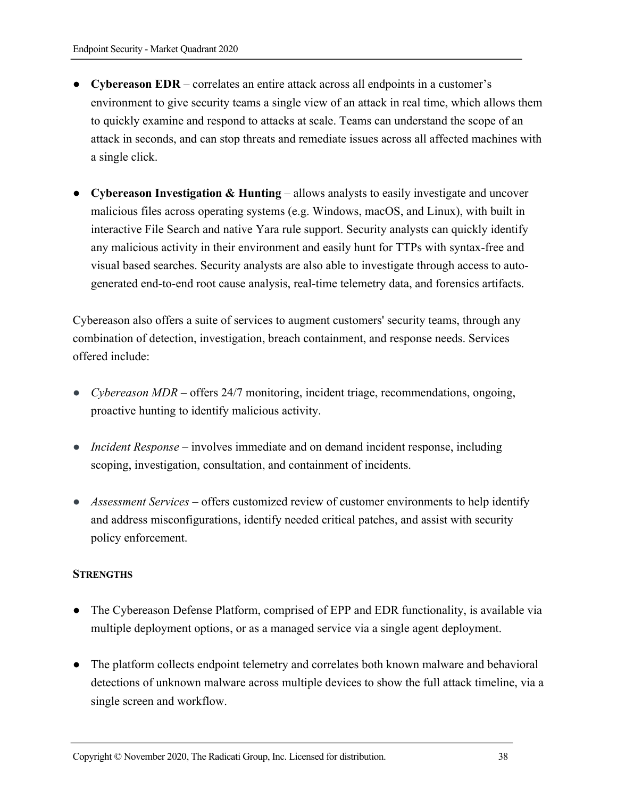- **Cybereason EDR** correlates an entire attack across all endpoints in a customer's environment to give security teams a single view of an attack in real time, which allows them to quickly examine and respond to attacks at scale. Teams can understand the scope of an attack in seconds, and can stop threats and remediate issues across all affected machines with a single click.
- **Cybereason Investigation & Hunting** allows analysts to easily investigate and uncover malicious files across operating systems (e.g. Windows, macOS, and Linux), with built in interactive File Search and native Yara rule support. Security analysts can quickly identify any malicious activity in their environment and easily hunt for TTPs with syntax-free and visual based searches. Security analysts are also able to investigate through access to autogenerated end-to-end root cause analysis, real-time telemetry data, and forensics artifacts.

Cybereason also offers a suite of services to augment customers' security teams, through any combination of detection, investigation, breach containment, and response needs. Services offered include:

- *Cybereason MDR* offers 24/7 monitoring, incident triage, recommendations, ongoing, proactive hunting to identify malicious activity.
- *Incident Response* involves immediate and on demand incident response, including scoping, investigation, consultation, and containment of incidents.
- *Assessment Services* offers customized review of customer environments to help identify and address misconfigurations, identify needed critical patches, and assist with security policy enforcement.

#### **STRENGTHS**

- The Cybereason Defense Platform, comprised of EPP and EDR functionality, is available via multiple deployment options, or as a managed service via a single agent deployment.
- The platform collects endpoint telemetry and correlates both known malware and behavioral detections of unknown malware across multiple devices to show the full attack timeline, via a single screen and workflow.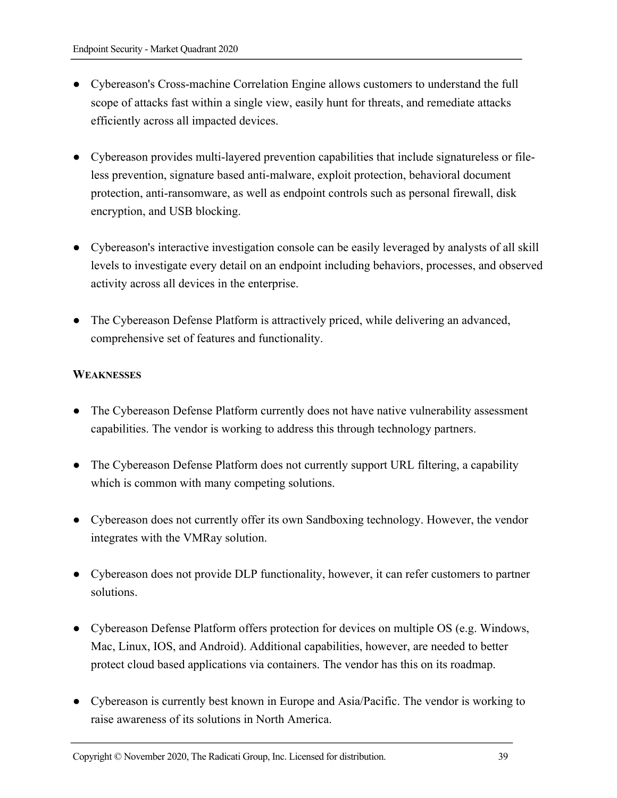- Cybereason's Cross-machine Correlation Engine allows customers to understand the full scope of attacks fast within a single view, easily hunt for threats, and remediate attacks efficiently across all impacted devices.
- Cybereason provides multi-layered prevention capabilities that include signatureless or fileless prevention, signature based anti-malware, exploit protection, behavioral document protection, anti-ransomware, as well as endpoint controls such as personal firewall, disk encryption, and USB blocking.
- Cybereason's interactive investigation console can be easily leveraged by analysts of all skill levels to investigate every detail on an endpoint including behaviors, processes, and observed activity across all devices in the enterprise.
- The Cybereason Defense Platform is attractively priced, while delivering an advanced, comprehensive set of features and functionality.

#### **WEAKNESSES**

- The Cybereason Defense Platform currently does not have native vulnerability assessment capabilities. The vendor is working to address this through technology partners.
- The Cybereason Defense Platform does not currently support URL filtering, a capability which is common with many competing solutions.
- Cybereason does not currently offer its own Sandboxing technology. However, the vendor integrates with the VMRay solution.
- Cybereason does not provide DLP functionality, however, it can refer customers to partner solutions.
- Cybereason Defense Platform offers protection for devices on multiple OS (e.g. Windows, Mac, Linux, IOS, and Android). Additional capabilities, however, are needed to better protect cloud based applications via containers. The vendor has this on its roadmap.
- Cybereason is currently best known in Europe and Asia/Pacific. The vendor is working to raise awareness of its solutions in North America.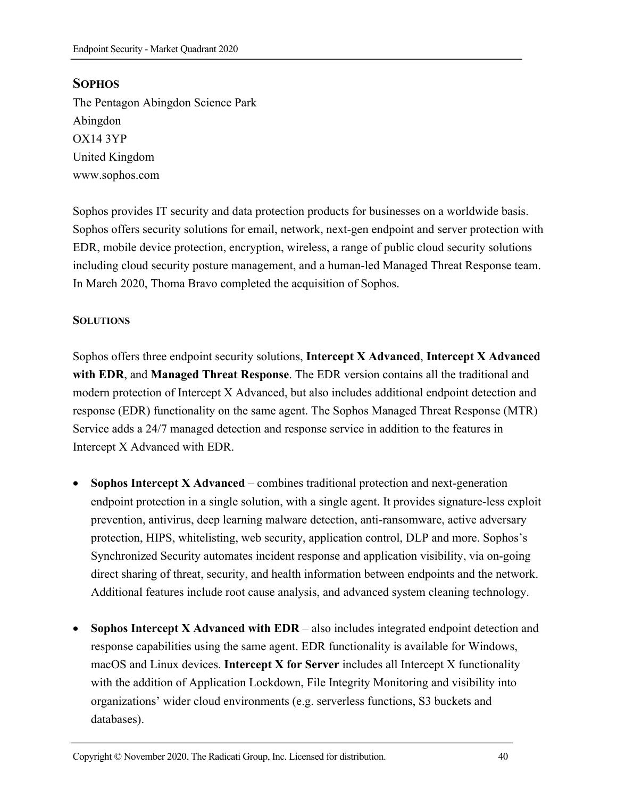# **SOPHOS**

The Pentagon Abingdon Science Park Abingdon OX14 3YP United Kingdom www.sophos.com

Sophos provides IT security and data protection products for businesses on a worldwide basis. Sophos offers security solutions for email, network, next-gen endpoint and server protection with EDR, mobile device protection, encryption, wireless, a range of public cloud security solutions including cloud security posture management, and a human-led Managed Threat Response team. In March 2020, Thoma Bravo completed the acquisition of Sophos.

#### **SOLUTIONS**

Sophos offers three endpoint security solutions, **Intercept X Advanced**, **Intercept X Advanced with EDR**, and **Managed Threat Response**. The EDR version contains all the traditional and modern protection of Intercept X Advanced, but also includes additional endpoint detection and response (EDR) functionality on the same agent. The Sophos Managed Threat Response (MTR) Service adds a 24/7 managed detection and response service in addition to the features in Intercept X Advanced with EDR.

- **Sophos Intercept X Advanced** combines traditional protection and next-generation endpoint protection in a single solution, with a single agent. It provides signature-less exploit prevention, antivirus, deep learning malware detection, anti-ransomware, active adversary protection, HIPS, whitelisting, web security, application control, DLP and more. Sophos's Synchronized Security automates incident response and application visibility, via on-going direct sharing of threat, security, and health information between endpoints and the network. Additional features include root cause analysis, and advanced system cleaning technology.
- **Sophos Intercept X Advanced with EDR** also includes integrated endpoint detection and response capabilities using the same agent. EDR functionality is available for Windows, macOS and Linux devices. **Intercept X for Server** includes all Intercept X functionality with the addition of Application Lockdown, File Integrity Monitoring and visibility into organizations' wider cloud environments (e.g. serverless functions, S3 buckets and databases).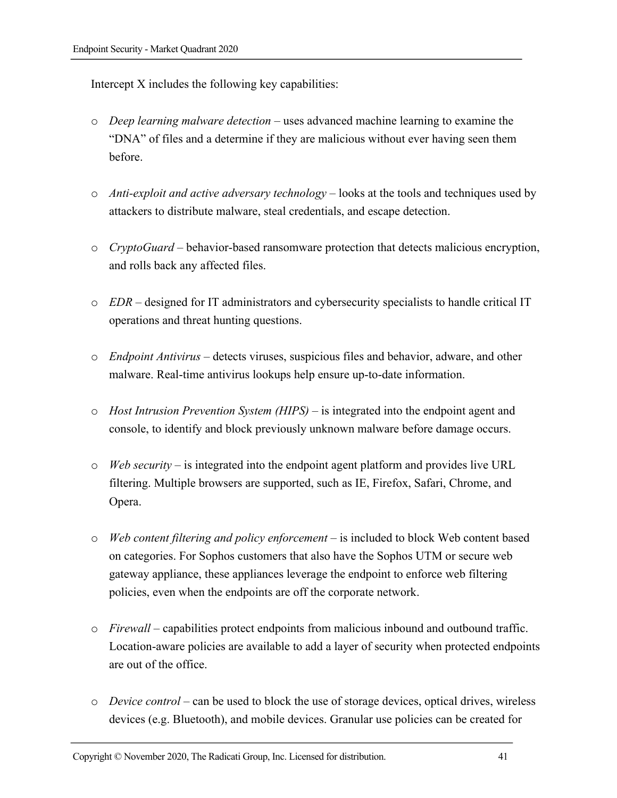Intercept X includes the following key capabilities:

- o *Deep learning malware detection* uses advanced machine learning to examine the "DNA" of files and a determine if they are malicious without ever having seen them before.
- o *Anti-exploit and active adversary technology* looks at the tools and techniques used by attackers to distribute malware, steal credentials, and escape detection.
- o *CryptoGuard* behavior-based ransomware protection that detects malicious encryption, and rolls back any affected files.
- o *EDR*  designed for IT administrators and cybersecurity specialists to handle critical IT operations and threat hunting questions.
- o *Endpoint Antivirus* detects viruses, suspicious files and behavior, adware, and other malware. Real-time antivirus lookups help ensure up-to-date information.
- o *Host Intrusion Prevention System (HIPS)* is integrated into the endpoint agent and console, to identify and block previously unknown malware before damage occurs.
- o *Web security* is integrated into the endpoint agent platform and provides live URL filtering. Multiple browsers are supported, such as IE, Firefox, Safari, Chrome, and Opera.
- o *Web content filtering and policy enforcement* is included to block Web content based on categories. For Sophos customers that also have the Sophos UTM or secure web gateway appliance, these appliances leverage the endpoint to enforce web filtering policies, even when the endpoints are off the corporate network.
- o *Firewall*  capabilities protect endpoints from malicious inbound and outbound traffic. Location-aware policies are available to add a layer of security when protected endpoints are out of the office.
- o *Device control*  can be used to block the use of storage devices, optical drives, wireless devices (e.g. Bluetooth), and mobile devices. Granular use policies can be created for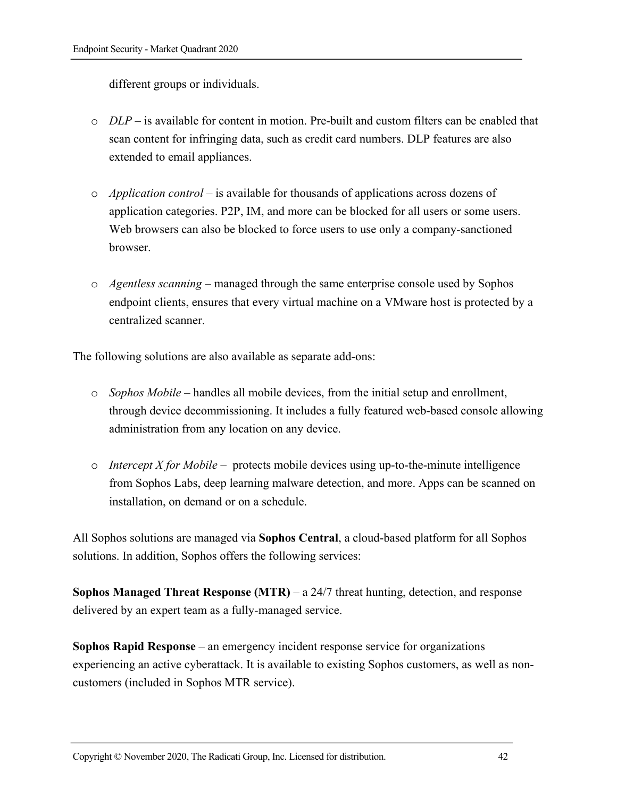different groups or individuals.

- $\circ$  *DLP* is available for content in motion. Pre-built and custom filters can be enabled that scan content for infringing data, such as credit card numbers. DLP features are also extended to email appliances.
- o *Application control*  is available for thousands of applications across dozens of application categories. P2P, IM, and more can be blocked for all users or some users. Web browsers can also be blocked to force users to use only a company-sanctioned browser.
- o *Agentless scanning* managed through the same enterprise console used by Sophos endpoint clients, ensures that every virtual machine on a VMware host is protected by a centralized scanner.

The following solutions are also available as separate add-ons:

- o *Sophos Mobile* handles all mobile devices, from the initial setup and enrollment, through device decommissioning. It includes a fully featured web-based console allowing administration from any location on any device.
- o *Intercept X for Mobile* protects mobile devices using up-to-the-minute intelligence from Sophos Labs, deep learning malware detection, and more. Apps can be scanned on installation, on demand or on a schedule.

All Sophos solutions are managed via **Sophos Central**, a cloud-based platform for all Sophos solutions. In addition, Sophos offers the following services:

**Sophos Managed Threat Response (MTR)** – a 24/7 threat hunting, detection, and response delivered by an expert team as a fully-managed service.

**Sophos Rapid Response** – an emergency incident response service for organizations experiencing an active cyberattack. It is available to existing Sophos customers, as well as noncustomers (included in Sophos MTR service).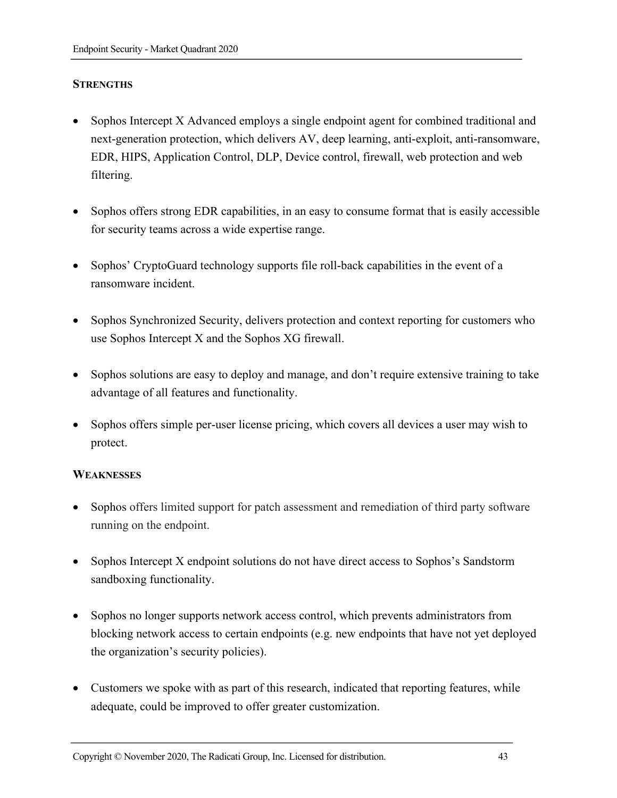#### **STRENGTHS**

- Sophos Intercept X Advanced employs a single endpoint agent for combined traditional and next-generation protection, which delivers AV, deep learning, anti-exploit, anti-ransomware, EDR, HIPS, Application Control, DLP, Device control, firewall, web protection and web filtering.
- Sophos offers strong EDR capabilities, in an easy to consume format that is easily accessible for security teams across a wide expertise range.
- Sophos' CryptoGuard technology supports file roll-back capabilities in the event of a ransomware incident.
- Sophos Synchronized Security, delivers protection and context reporting for customers who use Sophos Intercept X and the Sophos XG firewall.
- Sophos solutions are easy to deploy and manage, and don't require extensive training to take advantage of all features and functionality.
- Sophos offers simple per-user license pricing, which covers all devices a user may wish to protect.

#### **WEAKNESSES**

- Sophos offers limited support for patch assessment and remediation of third party software running on the endpoint.
- Sophos Intercept X endpoint solutions do not have direct access to Sophos's Sandstorm sandboxing functionality.
- Sophos no longer supports network access control, which prevents administrators from blocking network access to certain endpoints (e.g. new endpoints that have not yet deployed the organization's security policies).
- Customers we spoke with as part of this research, indicated that reporting features, while adequate, could be improved to offer greater customization.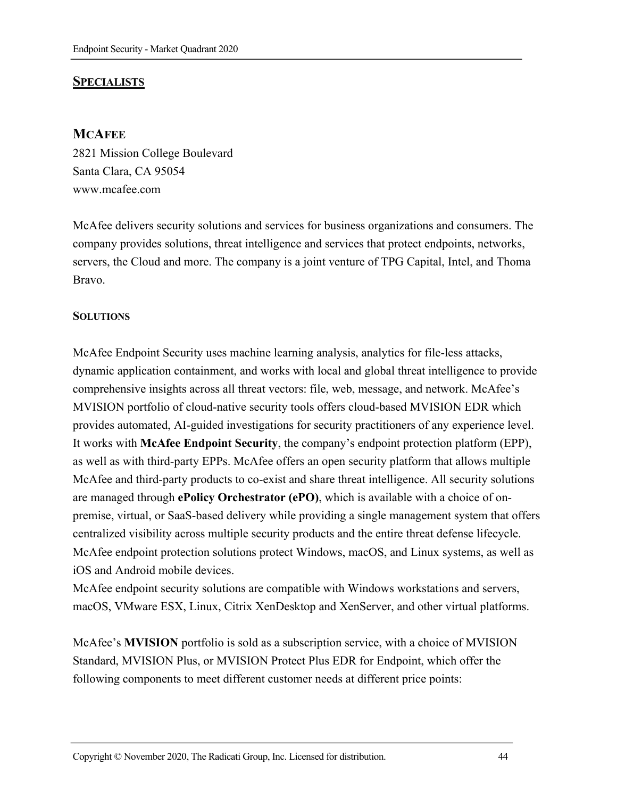# **SPECIALISTS**

#### **MCAFEE**

2821 Mission College Boulevard Santa Clara, CA 95054 www.mcafee.com

McAfee delivers security solutions and services for business organizations and consumers. The company provides solutions, threat intelligence and services that protect endpoints, networks, servers, the Cloud and more. The company is a joint venture of TPG Capital, Intel, and Thoma Bravo.

#### **SOLUTIONS**

McAfee Endpoint Security uses machine learning analysis, analytics for file-less attacks, dynamic application containment, and works with local and global threat intelligence to provide comprehensive insights across all threat vectors: file, web, message, and network. McAfee's MVISION portfolio of cloud-native security tools offers cloud-based MVISION EDR which provides automated, AI-guided investigations for security practitioners of any experience level. It works with **McAfee Endpoint Security**, the company's endpoint protection platform (EPP), as well as with third-party EPPs. McAfee offers an open security platform that allows multiple McAfee and third-party products to co-exist and share threat intelligence. All security solutions are managed through **ePolicy Orchestrator (ePO)**, which is available with a choice of onpremise, virtual, or SaaS-based delivery while providing a single management system that offers centralized visibility across multiple security products and the entire threat defense lifecycle. McAfee endpoint protection solutions protect Windows, macOS, and Linux systems, as well as iOS and Android mobile devices.

McAfee endpoint security solutions are compatible with Windows workstations and servers, macOS, VMware ESX, Linux, Citrix XenDesktop and XenServer, and other virtual platforms.

McAfee's **MVISION** portfolio is sold as a subscription service, with a choice of MVISION Standard, MVISION Plus, or MVISION Protect Plus EDR for Endpoint, which offer the following components to meet different customer needs at different price points: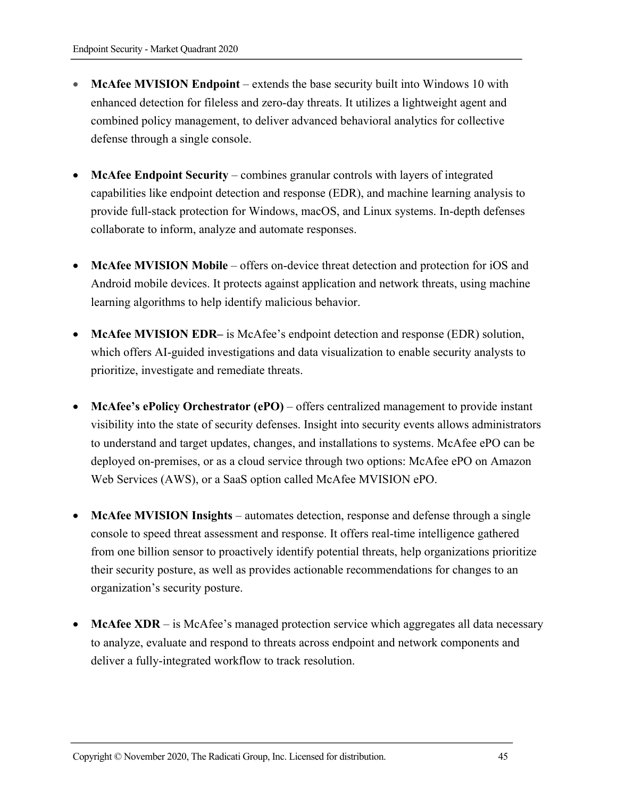- **McAfee MVISION Endpoint**  extends the base security built into Windows 10 with enhanced detection for fileless and zero-day threats. It utilizes a lightweight agent and combined policy management, to deliver advanced behavioral analytics for collective defense through a single console.
- **McAfee Endpoint Security** combines granular controls with layers of integrated capabilities like endpoint detection and response (EDR), and machine learning analysis to provide full-stack protection for Windows, macOS, and Linux systems. In-depth defenses collaborate to inform, analyze and automate responses.
- **McAfee MVISION Mobile** offers on-device threat detection and protection for iOS and Android mobile devices. It protects against application and network threats, using machine learning algorithms to help identify malicious behavior.
- **McAfee MVISION EDR–** is McAfee's endpoint detection and response (EDR) solution, which offers AI-guided investigations and data visualization to enable security analysts to prioritize, investigate and remediate threats.
- **McAfee's ePolicy Orchestrator (ePO)**  offers centralized management to provide instant visibility into the state of security defenses. Insight into security events allows administrators to understand and target updates, changes, and installations to systems. McAfee ePO can be deployed on-premises, or as a cloud service through two options: McAfee ePO on Amazon Web Services (AWS), or a SaaS option called McAfee MVISION ePO.
- **McAfee MVISION Insights**  automates detection, response and defense through a single console to speed threat assessment and response. It offers real-time intelligence gathered from one billion sensor to proactively identify potential threats, help organizations prioritize their security posture, as well as provides actionable recommendations for changes to an organization's security posture.
- **McAfee XDR** is McAfee's managed protection service which aggregates all data necessary to analyze, evaluate and respond to threats across endpoint and network components and deliver a fully-integrated workflow to track resolution.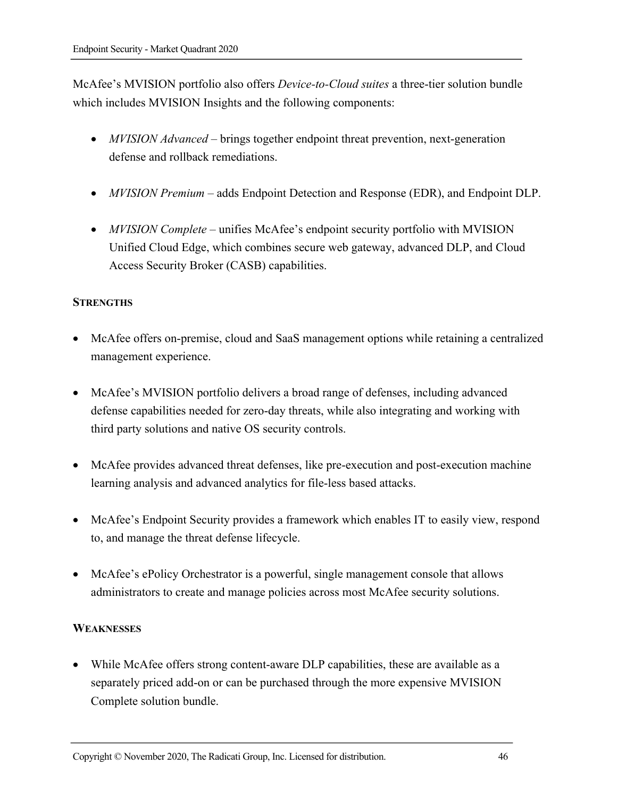McAfee's MVISION portfolio also offers *Device-to-Cloud suites* a three-tier solution bundle which includes MVISION Insights and the following components:

- *MVISION Advanced* brings together endpoint threat prevention, next-generation defense and rollback remediations.
- *MVISION Premium* adds Endpoint Detection and Response (EDR), and Endpoint DLP.
- *MVISION Complete* unifies McAfee's endpoint security portfolio with MVISION Unified Cloud Edge, which combines secure web gateway, advanced DLP, and Cloud Access Security Broker (CASB) capabilities.

#### **STRENGTHS**

- McAfee offers on-premise, cloud and SaaS management options while retaining a centralized management experience.
- McAfee's MVISION portfolio delivers a broad range of defenses, including advanced defense capabilities needed for zero-day threats, while also integrating and working with third party solutions and native OS security controls.
- McAfee provides advanced threat defenses, like pre-execution and post-execution machine learning analysis and advanced analytics for file-less based attacks.
- McAfee's Endpoint Security provides a framework which enables IT to easily view, respond to, and manage the threat defense lifecycle.
- McAfee's ePolicy Orchestrator is a powerful, single management console that allows administrators to create and manage policies across most McAfee security solutions.

#### **WEAKNESSES**

• While McAfee offers strong content-aware DLP capabilities, these are available as a separately priced add-on or can be purchased through the more expensive MVISION Complete solution bundle.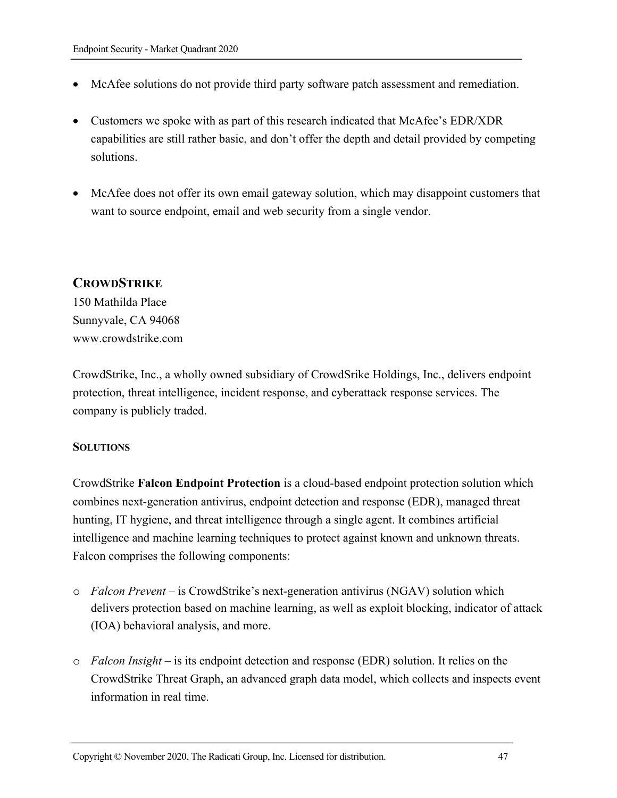- McAfee solutions do not provide third party software patch assessment and remediation.
- Customers we spoke with as part of this research indicated that McAfee's EDR/XDR capabilities are still rather basic, and don't offer the depth and detail provided by competing solutions.
- McAfee does not offer its own email gateway solution, which may disappoint customers that want to source endpoint, email and web security from a single vendor.

#### **CROWDSTRIKE**

150 Mathilda Place Sunnyvale, CA 94068 www.crowdstrike.com

CrowdStrike, Inc., a wholly owned subsidiary of CrowdSrike Holdings, Inc., delivers endpoint protection, threat intelligence, incident response, and cyberattack response services. The company is publicly traded.

#### **SOLUTIONS**

CrowdStrike **Falcon Endpoint Protection** is a cloud-based endpoint protection solution which combines next-generation antivirus, endpoint detection and response (EDR), managed threat hunting, IT hygiene, and threat intelligence through a single agent. It combines artificial intelligence and machine learning techniques to protect against known and unknown threats. Falcon comprises the following components:

- o *Falcon Prevent* is CrowdStrike's next-generation antivirus (NGAV) solution which delivers protection based on machine learning, as well as exploit blocking, indicator of attack (IOA) behavioral analysis, and more.
- o *Falcon Insight* is its endpoint detection and response (EDR) solution. It relies on the CrowdStrike Threat Graph, an advanced graph data model, which collects and inspects event information in real time.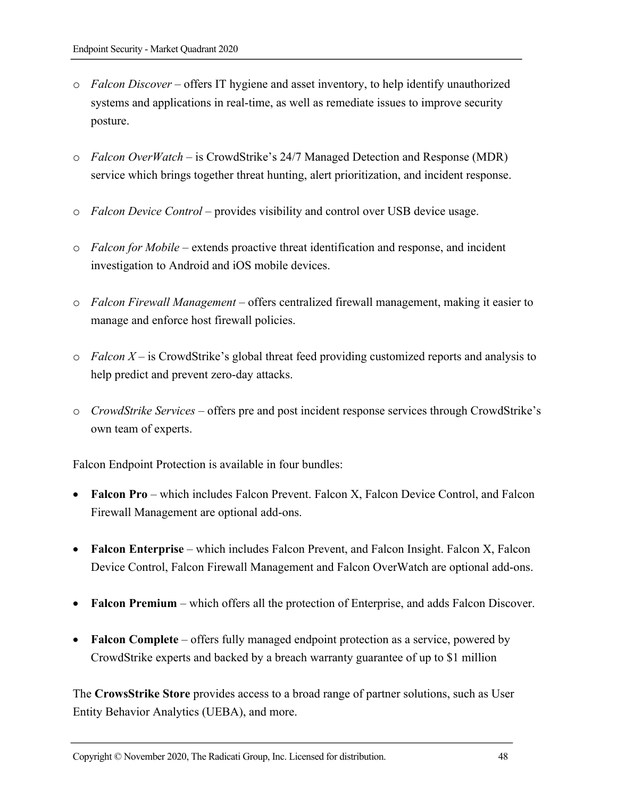- o *Falcon Discover* offers IT hygiene and asset inventory, to help identify unauthorized systems and applications in real-time, as well as remediate issues to improve security posture.
- *Falcon OverWatch* is CrowdStrike's 24/7 Managed Detection and Response (MDR) service which brings together threat hunting, alert prioritization, and incident response.
- o *Falcon Device Control* provides visibility and control over USB device usage.
- o *Falcon for Mobile* extends proactive threat identification and response, and incident investigation to Android and iOS mobile devices.
- o *Falcon Firewall Management* offers centralized firewall management, making it easier to manage and enforce host firewall policies.
- o *Falcon X* is CrowdStrike's global threat feed providing customized reports and analysis to help predict and prevent zero-day attacks.
- o *CrowdStrike Services* offers pre and post incident response services through CrowdStrike's own team of experts.

Falcon Endpoint Protection is available in four bundles:

- **Falcon Pro** which includes Falcon Prevent. Falcon X, Falcon Device Control, and Falcon Firewall Management are optional add-ons.
- **Falcon Enterprise** which includes Falcon Prevent, and Falcon Insight. Falcon X, Falcon Device Control, Falcon Firewall Management and Falcon OverWatch are optional add-ons.
- **Falcon Premium**  which offers all the protection of Enterprise, and adds Falcon Discover.
- **Falcon Complete**  offers fully managed endpoint protection as a service, powered by CrowdStrike experts and backed by a breach warranty guarantee of up to \$1 million

The **CrowsStrike Store** provides access to a broad range of partner solutions, such as User Entity Behavior Analytics (UEBA), and more.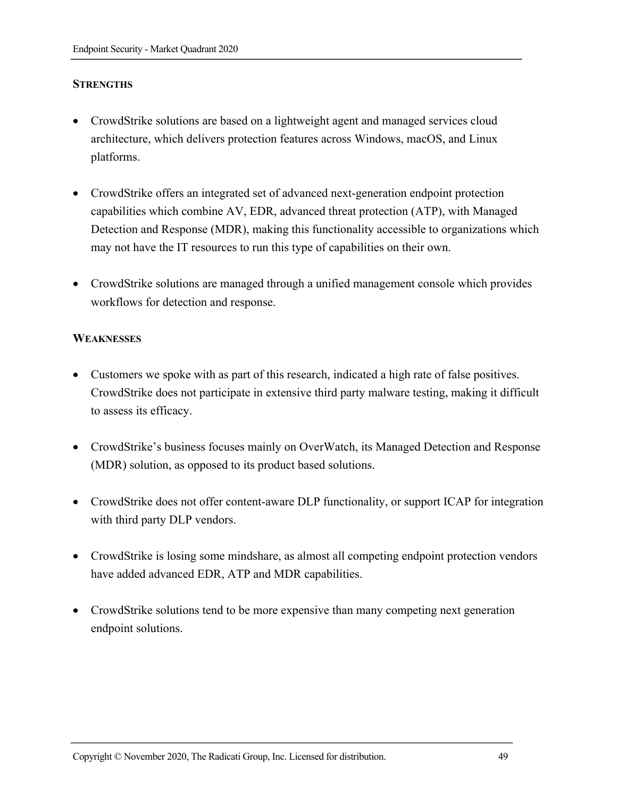#### **STRENGTHS**

- CrowdStrike solutions are based on a lightweight agent and managed services cloud architecture, which delivers protection features across Windows, macOS, and Linux platforms.
- CrowdStrike offers an integrated set of advanced next-generation endpoint protection capabilities which combine AV, EDR, advanced threat protection (ATP), with Managed Detection and Response (MDR), making this functionality accessible to organizations which may not have the IT resources to run this type of capabilities on their own.
- CrowdStrike solutions are managed through a unified management console which provides workflows for detection and response.

#### **WEAKNESSES**

- Customers we spoke with as part of this research, indicated a high rate of false positives. CrowdStrike does not participate in extensive third party malware testing, making it difficult to assess its efficacy.
- CrowdStrike's business focuses mainly on OverWatch, its Managed Detection and Response (MDR) solution, as opposed to its product based solutions.
- CrowdStrike does not offer content-aware DLP functionality, or support ICAP for integration with third party DLP vendors.
- CrowdStrike is losing some mindshare, as almost all competing endpoint protection vendors have added advanced EDR, ATP and MDR capabilities.
- CrowdStrike solutions tend to be more expensive than many competing next generation endpoint solutions.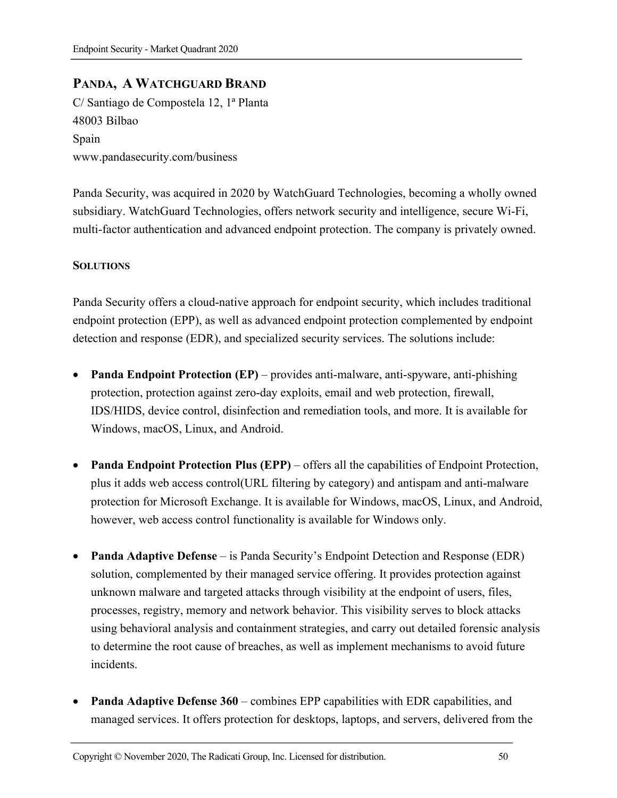# **PANDA, A WATCHGUARD BRAND**

C/ Santiago de Compostela 12, 1ª Planta 48003 Bilbao Spain www.pandasecurity.com/business

Panda Security, was acquired in 2020 by WatchGuard Technologies, becoming a wholly owned subsidiary. WatchGuard Technologies, offers network security and intelligence, secure Wi-Fi, multi-factor authentication and advanced endpoint protection. The company is privately owned.

#### **SOLUTIONS**

Panda Security offers a cloud-native approach for endpoint security, which includes traditional endpoint protection (EPP), as well as advanced endpoint protection complemented by endpoint detection and response (EDR), and specialized security services. The solutions include:

- **Panda Endpoint Protection (EP)** provides anti-malware, anti-spyware, anti-phishing protection, protection against zero-day exploits, email and web protection, firewall, IDS/HIDS, device control, disinfection and remediation tools, and more. It is available for Windows, macOS, Linux, and Android.
- **Panda Endpoint Protection Plus (EPP)** offers all the capabilities of Endpoint Protection, plus it adds web access control(URL filtering by category) and antispam and anti-malware protection for Microsoft Exchange. It is available for Windows, macOS, Linux, and Android, however, web access control functionality is available for Windows only.
- **Panda Adaptive Defense** is Panda Security's Endpoint Detection and Response (EDR) solution, complemented by their managed service offering. It provides protection against unknown malware and targeted attacks through visibility at the endpoint of users, files, processes, registry, memory and network behavior. This visibility serves to block attacks using behavioral analysis and containment strategies, and carry out detailed forensic analysis to determine the root cause of breaches, as well as implement mechanisms to avoid future incidents.
- **Panda Adaptive Defense 360** combines EPP capabilities with EDR capabilities, and managed services. It offers protection for desktops, laptops, and servers, delivered from the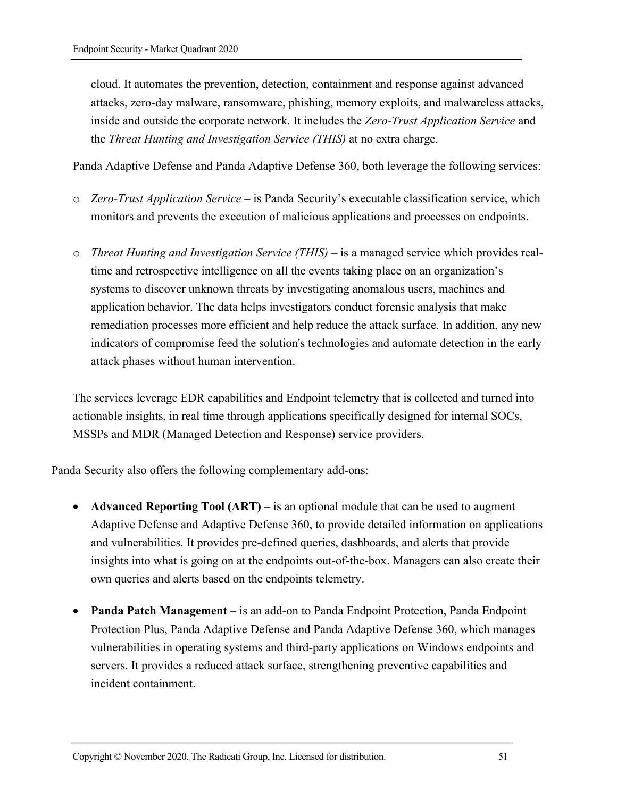cloud. It automates the prevention, detection, containment and response against advanced attacks, zero-day malware, ransomware, phishing, memory exploits, and malwareless attacks, inside and outside the corporate network. It includes the *Zero-Trust Application Service* and the *Threat Hunting and Investigation Service (THIS)* at no extra charge.

Panda Adaptive Defense and Panda Adaptive Defense 360, both leverage the following services:

- o *Zero-Trust Application Service*  is Panda Security's executable classification service, which monitors and prevents the execution of malicious applications and processes on endpoints.
- o *Threat Hunting and Investigation Service (THIS)* is a managed service which provides realtime and retrospective intelligence on all the events taking place on an organization's systems to discover unknown threats by investigating anomalous users, machines and application behavior. The data helps investigators conduct forensic analysis that make remediation processes more efficient and help reduce the attack surface. In addition, any new indicators of compromise feed the solution's technologies and automate detection in the early attack phases without human intervention.

The services leverage EDR capabilities and Endpoint telemetry that is collected and turned into actionable insights, in real time through applications specifically designed for internal SOCs, MSSPs and MDR (Managed Detection and Response) service providers.

Panda Security also offers the following complementary add-ons:

- **Advanced Reporting Tool (ART)** is an optional module that can be used to augment Adaptive Defense and Adaptive Defense 360, to provide detailed information on applications and vulnerabilities. It provides pre-defined queries, dashboards, and alerts that provide insights into what is going on at the endpoints out-of-the-box. Managers can also create their own queries and alerts based on the endpoints telemetry.
- **Panda Patch Management** is an add-on to Panda Endpoint Protection, Panda Endpoint Protection Plus, Panda Adaptive Defense and Panda Adaptive Defense 360, which manages vulnerabilities in operating systems and third-party applications on Windows endpoints and servers. It provides a reduced attack surface, strengthening preventive capabilities and incident containment.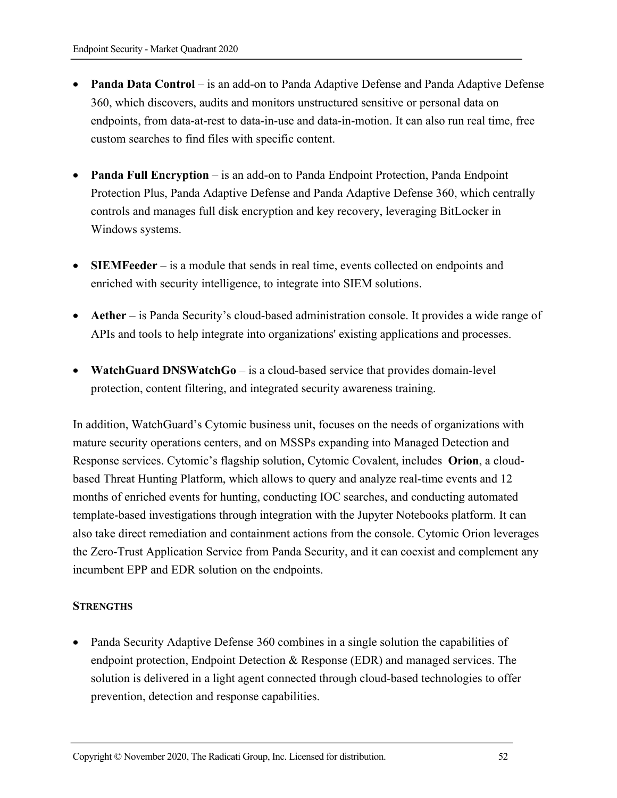- **Panda Data Control** is an add-on to Panda Adaptive Defense and Panda Adaptive Defense 360, which discovers, audits and monitors unstructured sensitive or personal data on endpoints, from data-at-rest to data-in-use and data-in-motion. It can also run real time, free custom searches to find files with specific content.
- **Panda Full Encryption** is an add-on to Panda Endpoint Protection, Panda Endpoint Protection Plus, Panda Adaptive Defense and Panda Adaptive Defense 360, which centrally controls and manages full disk encryption and key recovery, leveraging BitLocker in Windows systems.
- **SIEMFeeder** is a module that sends in real time, events collected on endpoints and enriched with security intelligence, to integrate into SIEM solutions.
- **Aether**  is Panda Security's cloud-based administration console. It provides a wide range of APIs and tools to help integrate into organizations' existing applications and processes.
- **WatchGuard DNSWatchGo** is a cloud-based service that provides domain-level protection, content filtering, and integrated security awareness training.

In addition, WatchGuard's Cytomic business unit, focuses on the needs of organizations with mature security operations centers, and on MSSPs expanding into Managed Detection and Response services. Cytomic's flagship solution, Cytomic Covalent, includes **Orion**, a cloudbased Threat Hunting Platform, which allows to query and analyze real-time events and 12 months of enriched events for hunting, conducting IOC searches, and conducting automated template-based investigations through integration with the Jupyter Notebooks platform. It can also take direct remediation and containment actions from the console. Cytomic Orion leverages the Zero-Trust Application Service from Panda Security, and it can coexist and complement any incumbent EPP and EDR solution on the endpoints.

#### **STRENGTHS**

• Panda Security Adaptive Defense 360 combines in a single solution the capabilities of endpoint protection, Endpoint Detection & Response (EDR) and managed services. The solution is delivered in a light agent connected through cloud-based technologies to offer prevention, detection and response capabilities.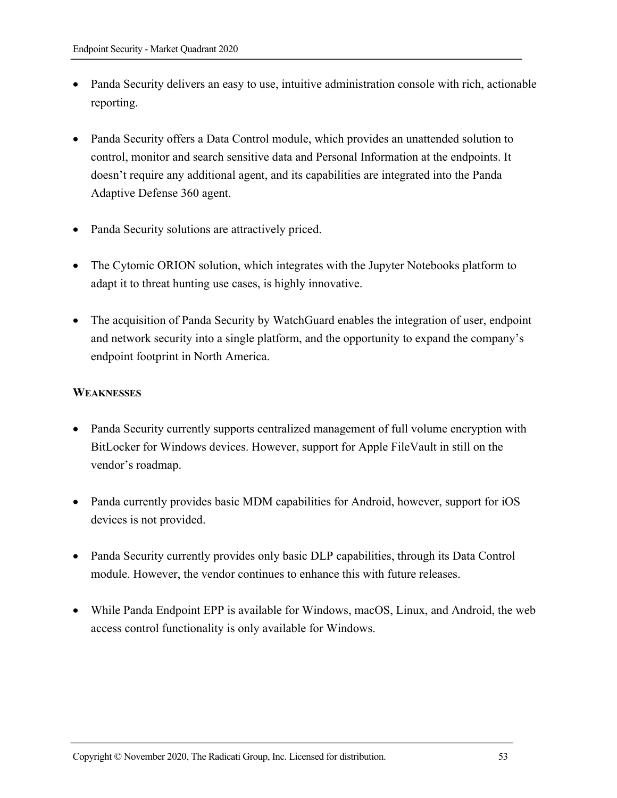- Panda Security delivers an easy to use, intuitive administration console with rich, actionable reporting.
- Panda Security offers a Data Control module, which provides an unattended solution to control, monitor and search sensitive data and Personal Information at the endpoints. It doesn't require any additional agent, and its capabilities are integrated into the Panda Adaptive Defense 360 agent.
- Panda Security solutions are attractively priced.
- The Cytomic ORION solution, which integrates with the Jupyter Notebooks platform to adapt it to threat hunting use cases, is highly innovative.
- The acquisition of Panda Security by WatchGuard enables the integration of user, endpoint and network security into a single platform, and the opportunity to expand the company's endpoint footprint in North America.

#### **WEAKNESSES**

- Panda Security currently supports centralized management of full volume encryption with BitLocker for Windows devices. However, support for Apple FileVault in still on the vendor's roadmap.
- Panda currently provides basic MDM capabilities for Android, however, support for iOS devices is not provided.
- Panda Security currently provides only basic DLP capabilities, through its Data Control module. However, the vendor continues to enhance this with future releases.
- While Panda Endpoint EPP is available for Windows, macOS, Linux, and Android, the web access control functionality is only available for Windows.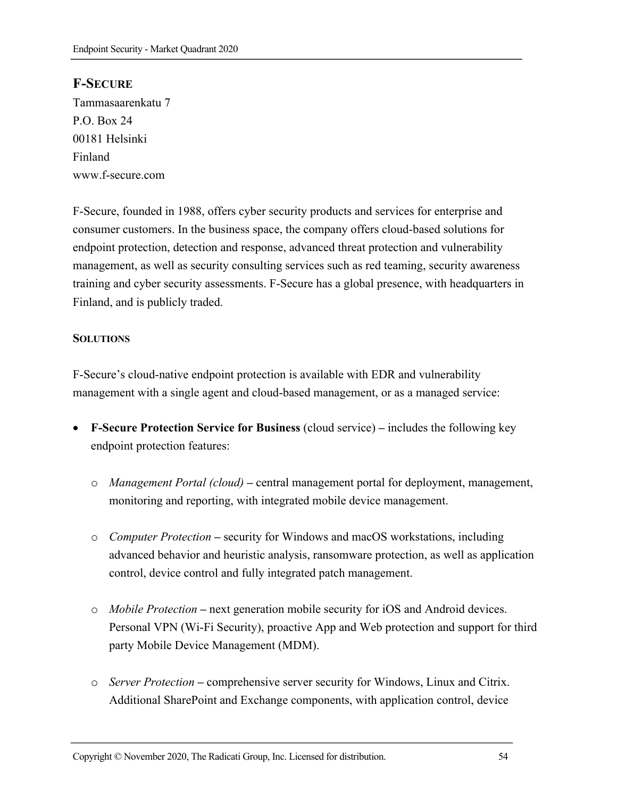# **F-SECURE**

Tammasaarenkatu 7 P.O. Box 24 00181 Helsinki Finland www.f-secure.com

F-Secure, founded in 1988, offers cyber security products and services for enterprise and consumer customers. In the business space, the company offers cloud-based solutions for endpoint protection, detection and response, advanced threat protection and vulnerability management, as well as security consulting services such as red teaming, security awareness training and cyber security assessments. F-Secure has a global presence, with headquarters in Finland, and is publicly traded.

#### **SOLUTIONS**

F-Secure's cloud-native endpoint protection is available with EDR and vulnerability management with a single agent and cloud-based management, or as a managed service:

- **F-Secure Protection Service for Business** (cloud service) **–** includes the following key endpoint protection features:
	- o *Management Portal (cloud)* **–** central management portal for deployment, management, monitoring and reporting, with integrated mobile device management.
	- o *Computer Protection* **–** security for Windows and macOS workstations, including advanced behavior and heuristic analysis, ransomware protection, as well as application control, device control and fully integrated patch management.
	- o *Mobile Protection* **–** next generation mobile security for iOS and Android devices. Personal VPN (Wi-Fi Security), proactive App and Web protection and support for third party Mobile Device Management (MDM).
	- o *Server Protection* **–** comprehensive server security for Windows, Linux and Citrix. Additional SharePoint and Exchange components, with application control, device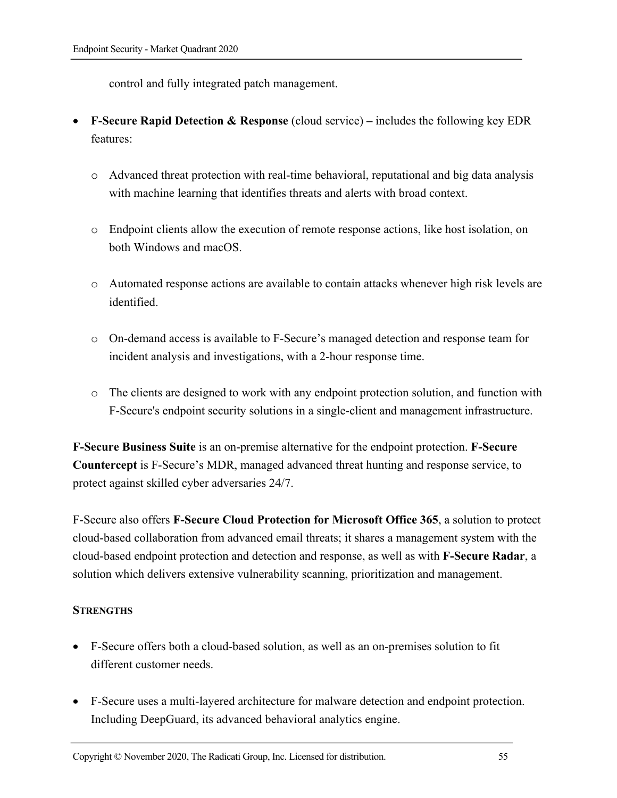control and fully integrated patch management.

- **F-Secure Rapid Detection & Response** (cloud service) **–** includes the following key EDR features:
	- o Advanced threat protection with real-time behavioral, reputational and big data analysis with machine learning that identifies threats and alerts with broad context.
	- o Endpoint clients allow the execution of remote response actions, like host isolation, on both Windows and macOS.
	- o Automated response actions are available to contain attacks whenever high risk levels are identified.
	- o On-demand access is available to F-Secure's managed detection and response team for incident analysis and investigations, with a 2-hour response time.
	- o The clients are designed to work with any endpoint protection solution, and function with F-Secure's endpoint security solutions in a single-client and management infrastructure.

**F-Secure Business Suite** is an on-premise alternative for the endpoint protection. **F-Secure Countercept** is F-Secure's MDR, managed advanced threat hunting and response service, to protect against skilled cyber adversaries 24/7.

F-Secure also offers **F-Secure Cloud Protection for Microsoft Office 365**, a solution to protect cloud-based collaboration from advanced email threats; it shares a management system with the cloud-based endpoint protection and detection and response, as well as with **F-Secure Radar**, a solution which delivers extensive vulnerability scanning, prioritization and management.

#### **STRENGTHS**

- F-Secure offers both a cloud-based solution, as well as an on-premises solution to fit different customer needs.
- F-Secure uses a multi-layered architecture for malware detection and endpoint protection. Including DeepGuard, its advanced behavioral analytics engine.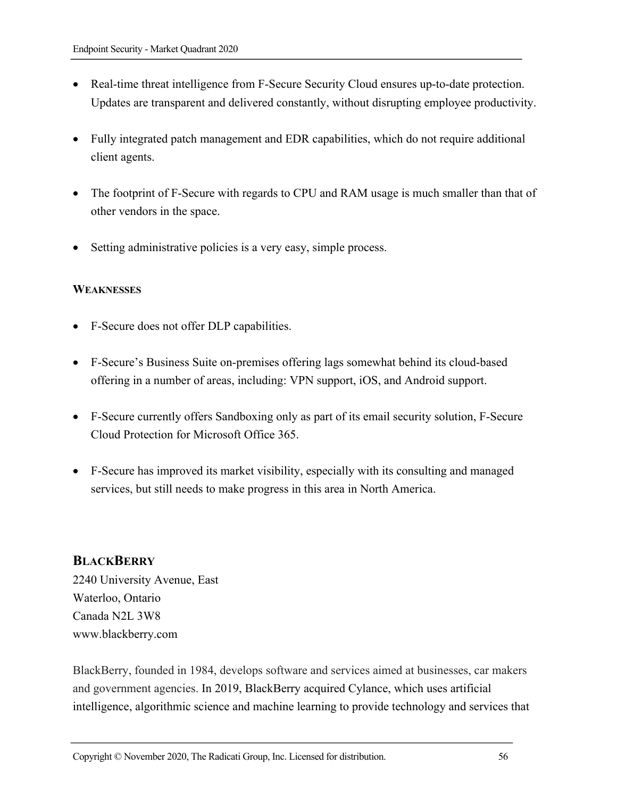- Real-time threat intelligence from F-Secure Security Cloud ensures up-to-date protection. Updates are transparent and delivered constantly, without disrupting employee productivity.
- Fully integrated patch management and EDR capabilities, which do not require additional client agents.
- The footprint of F-Secure with regards to CPU and RAM usage is much smaller than that of other vendors in the space.
- Setting administrative policies is a very easy, simple process.

#### **WEAKNESSES**

- F-Secure does not offer DLP capabilities.
- F-Secure's Business Suite on-premises offering lags somewhat behind its cloud-based offering in a number of areas, including: VPN support, iOS, and Android support.
- F-Secure currently offers Sandboxing only as part of its email security solution, F-Secure Cloud Protection for Microsoft Office 365.
- F-Secure has improved its market visibility, especially with its consulting and managed services, but still needs to make progress in this area in North America.

# **BLACKBERRY**

2240 University Avenue, East Waterloo, Ontario Canada N2L 3W8 www.blackberry.com

BlackBerry, founded in 1984, develops software and services aimed at businesses, car makers and government agencies. In 2019, BlackBerry acquired Cylance, which uses artificial intelligence, algorithmic science and machine learning to provide technology and services that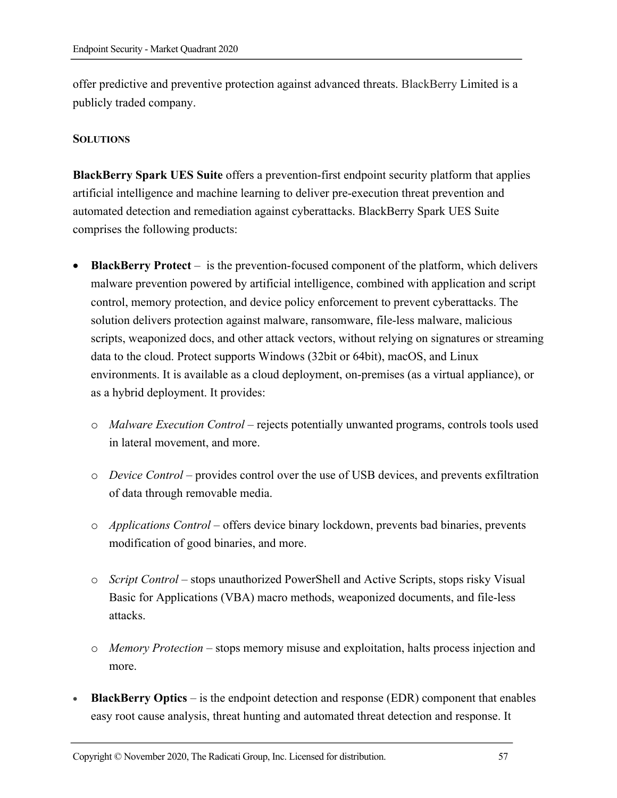offer predictive and preventive protection against advanced threats. BlackBerry Limited is a publicly traded company.

#### **SOLUTIONS**

**BlackBerry Spark UES Suite** offers a prevention-first endpoint security platform that applies artificial intelligence and machine learning to deliver pre-execution threat prevention and automated detection and remediation against cyberattacks. BlackBerry Spark UES Suite comprises the following products:

- **BlackBerry Protect** is the prevention-focused component of the platform, which delivers malware prevention powered by artificial intelligence, combined with application and script control, memory protection, and device policy enforcement to prevent cyberattacks. The solution delivers protection against malware, ransomware, file-less malware, malicious scripts, weaponized docs, and other attack vectors, without relying on signatures or streaming data to the cloud. Protect supports Windows (32bit or 64bit), macOS, and Linux environments. It is available as a cloud deployment, on-premises (as a virtual appliance), or as a hybrid deployment. It provides:
	- o *Malware Execution Control* rejects potentially unwanted programs, controls tools used in lateral movement, and more.
	- o *Device Control* provides control over the use of USB devices, and prevents exfiltration of data through removable media.
	- o *Applications Control* offers device binary lockdown, prevents bad binaries, prevents modification of good binaries, and more.
	- o *Script Control* stops unauthorized PowerShell and Active Scripts, stops risky Visual Basic for Applications (VBA) macro methods, weaponized documents, and file-less attacks.
	- o *Memory Protection* stops memory misuse and exploitation, halts process injection and more.
- **BlackBerry Optics** is the endpoint detection and response (EDR) component that enables easy root cause analysis, threat hunting and automated threat detection and response. It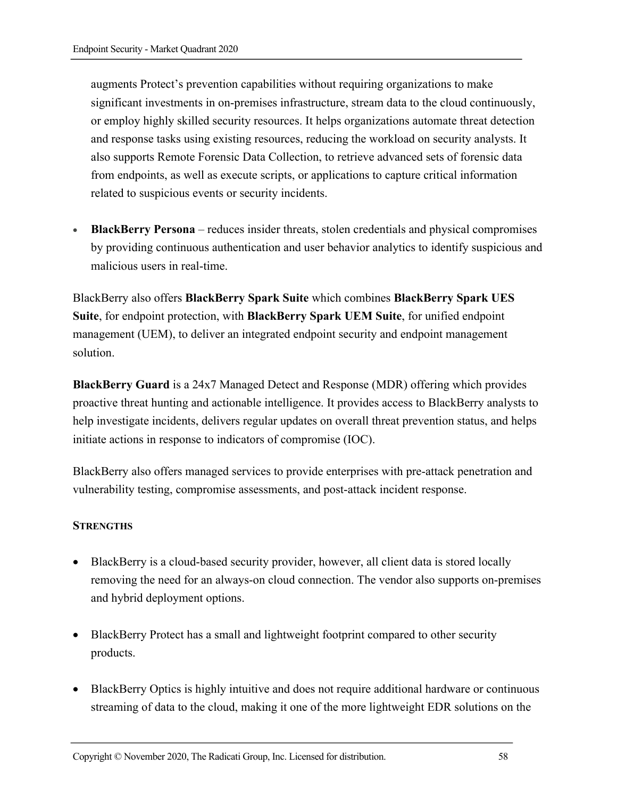augments Protect's prevention capabilities without requiring organizations to make significant investments in on-premises infrastructure, stream data to the cloud continuously, or employ highly skilled security resources. It helps organizations automate threat detection and response tasks using existing resources, reducing the workload on security analysts. It also supports Remote Forensic Data Collection, to retrieve advanced sets of forensic data from endpoints, as well as execute scripts, or applications to capture critical information related to suspicious events or security incidents.

• **BlackBerry Persona** – reduces insider threats, stolen credentials and physical compromises by providing continuous authentication and user behavior analytics to identify suspicious and malicious users in real-time.

BlackBerry also offers **BlackBerry Spark Suite** which combines **BlackBerry Spark UES Suite**, for endpoint protection, with **BlackBerry Spark UEM Suite**, for unified endpoint management (UEM), to deliver an integrated endpoint security and endpoint management solution.

**BlackBerry Guard** is a 24x7 Managed Detect and Response (MDR) offering which provides proactive threat hunting and actionable intelligence. It provides access to BlackBerry analysts to help investigate incidents, delivers regular updates on overall threat prevention status, and helps initiate actions in response to indicators of compromise (IOC).

BlackBerry also offers managed services to provide enterprises with pre-attack penetration and vulnerability testing, compromise assessments, and post-attack incident response.

#### **STRENGTHS**

- BlackBerry is a cloud-based security provider, however, all client data is stored locally removing the need for an always-on cloud connection. The vendor also supports on-premises and hybrid deployment options.
- BlackBerry Protect has a small and lightweight footprint compared to other security products.
- BlackBerry Optics is highly intuitive and does not require additional hardware or continuous streaming of data to the cloud, making it one of the more lightweight EDR solutions on the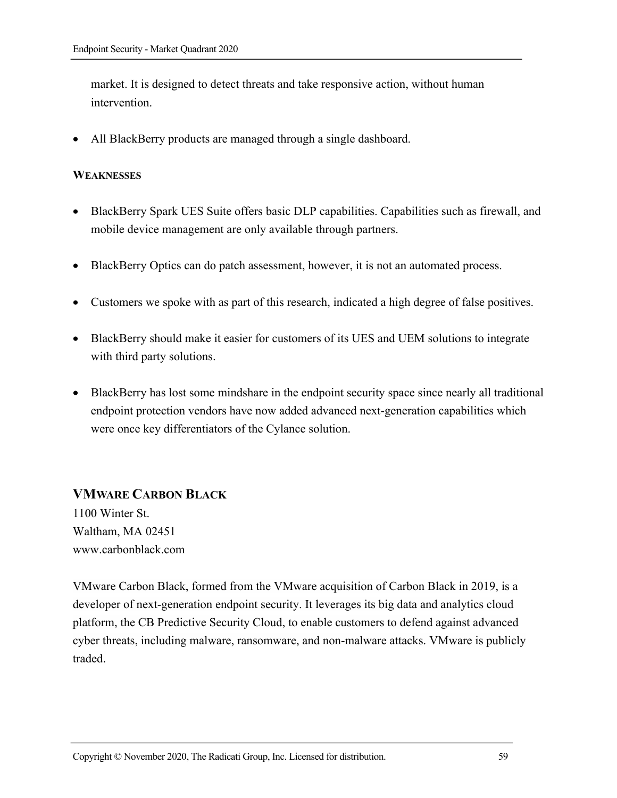market. It is designed to detect threats and take responsive action, without human intervention.

• All BlackBerry products are managed through a single dashboard.

#### **WEAKNESSES**

- BlackBerry Spark UES Suite offers basic DLP capabilities. Capabilities such as firewall, and mobile device management are only available through partners.
- BlackBerry Optics can do patch assessment, however, it is not an automated process.
- Customers we spoke with as part of this research, indicated a high degree of false positives.
- BlackBerry should make it easier for customers of its UES and UEM solutions to integrate with third party solutions.
- BlackBerry has lost some mindshare in the endpoint security space since nearly all traditional endpoint protection vendors have now added advanced next-generation capabilities which were once key differentiators of the Cylance solution.

# **VMWARE CARBON BLACK**

1100 Winter St. Waltham, MA 02451 www.carbonblack.com

VMware Carbon Black, formed from the VMware acquisition of Carbon Black in 2019, is a developer of next-generation endpoint security. It leverages its big data and analytics cloud platform, the CB Predictive Security Cloud, to enable customers to defend against advanced cyber threats, including malware, ransomware, and non-malware attacks. VMware is publicly traded.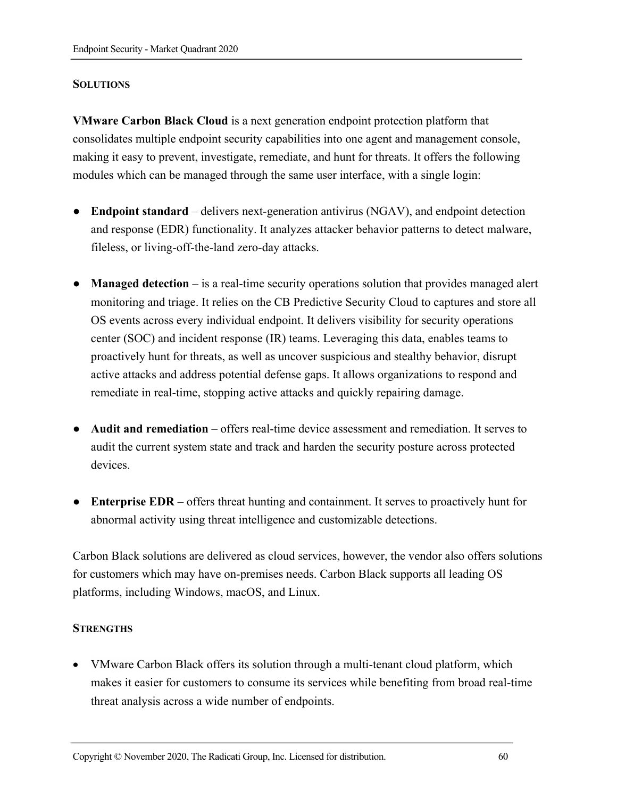#### **SOLUTIONS**

**VMware Carbon Black Cloud** is a next generation endpoint protection platform that consolidates multiple endpoint security capabilities into one agent and management console, making it easy to prevent, investigate, remediate, and hunt for threats. It offers the following modules which can be managed through the same user interface, with a single login:

- **Endpoint standard**  delivers next-generation antivirus (NGAV), and endpoint detection and response (EDR) functionality. It analyzes attacker behavior patterns to detect malware, fileless, or living-off-the-land zero-day attacks.
- **Managed detection** is a real-time security operations solution that provides managed alert monitoring and triage. It relies on the CB Predictive Security Cloud to captures and store all OS events across every individual endpoint. It delivers visibility for security operations center (SOC) and incident response (IR) teams. Leveraging this data, enables teams to proactively hunt for threats, as well as uncover suspicious and stealthy behavior, disrupt active attacks and address potential defense gaps. It allows organizations to respond and remediate in real-time, stopping active attacks and quickly repairing damage.
- **Audit and remediation**  offers real-time device assessment and remediation. It serves to audit the current system state and track and harden the security posture across protected devices.
- **Enterprise EDR** offers threat hunting and containment. It serves to proactively hunt for abnormal activity using threat intelligence and customizable detections.

Carbon Black solutions are delivered as cloud services, however, the vendor also offers solutions for customers which may have on-premises needs. Carbon Black supports all leading OS platforms, including Windows, macOS, and Linux.

#### **STRENGTHS**

• VMware Carbon Black offers its solution through a multi-tenant cloud platform, which makes it easier for customers to consume its services while benefiting from broad real-time threat analysis across a wide number of endpoints.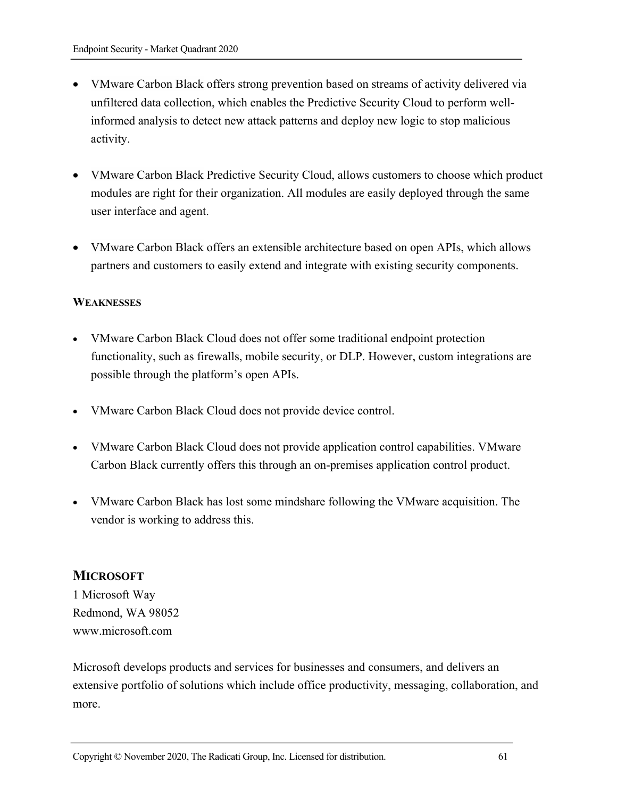- VMware Carbon Black offers strong prevention based on streams of activity delivered via unfiltered data collection, which enables the Predictive Security Cloud to perform wellinformed analysis to detect new attack patterns and deploy new logic to stop malicious activity.
- VMware Carbon Black Predictive Security Cloud, allows customers to choose which product modules are right for their organization. All modules are easily deployed through the same user interface and agent.
- VMware Carbon Black offers an extensible architecture based on open APIs, which allows partners and customers to easily extend and integrate with existing security components.

#### **WEAKNESSES**

- VMware Carbon Black Cloud does not offer some traditional endpoint protection functionality, such as firewalls, mobile security, or DLP. However, custom integrations are possible through the platform's open APIs.
- VMware Carbon Black Cloud does not provide device control.
- VMware Carbon Black Cloud does not provide application control capabilities. VMware Carbon Black currently offers this through an on-premises application control product.
- VMware Carbon Black has lost some mindshare following the VMware acquisition. The vendor is working to address this.

#### **MICROSOFT**

1 Microsoft Way Redmond, WA 98052 www.microsoft.com

Microsoft develops products and services for businesses and consumers, and delivers an extensive portfolio of solutions which include office productivity, messaging, collaboration, and more.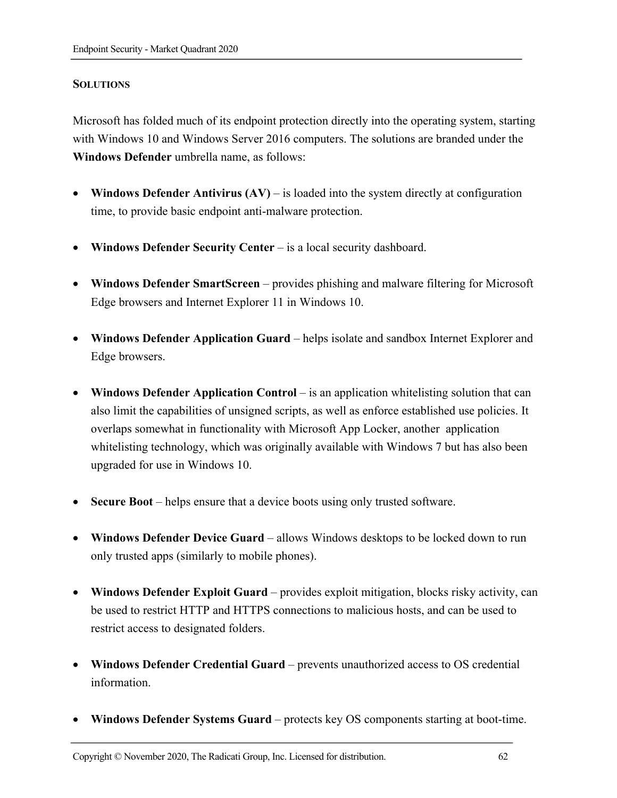#### **SOLUTIONS**

Microsoft has folded much of its endpoint protection directly into the operating system, starting with Windows 10 and Windows Server 2016 computers. The solutions are branded under the **Windows Defender** umbrella name, as follows:

- **Windows Defender Antivirus (AV)** is loaded into the system directly at configuration time, to provide basic endpoint anti-malware protection.
- **Windows Defender Security Center** is a local security dashboard.
- **Windows Defender SmartScreen** provides phishing and malware filtering for Microsoft Edge browsers and Internet Explorer 11 in Windows 10.
- **Windows Defender Application Guard** helps isolate and sandbox Internet Explorer and Edge browsers.
- **Windows Defender Application Control** is an application whitelisting solution that can also limit the capabilities of unsigned scripts, as well as enforce established use policies. It overlaps somewhat in functionality with Microsoft App Locker, another application whitelisting technology, which was originally available with Windows 7 but has also been upgraded for use in Windows 10.
- **Secure Boot** helps ensure that a device boots using only trusted software.
- **Windows Defender Device Guard** allows Windows desktops to be locked down to run only trusted apps (similarly to mobile phones).
- Windows Defender Exploit Guard provides exploit mitigation, blocks risky activity, can be used to restrict HTTP and HTTPS connections to malicious hosts, and can be used to restrict access to designated folders.
- Windows Defender Credential Guard prevents unauthorized access to OS credential information.
- **Windows Defender Systems Guard**  protects key OS components starting at boot-time.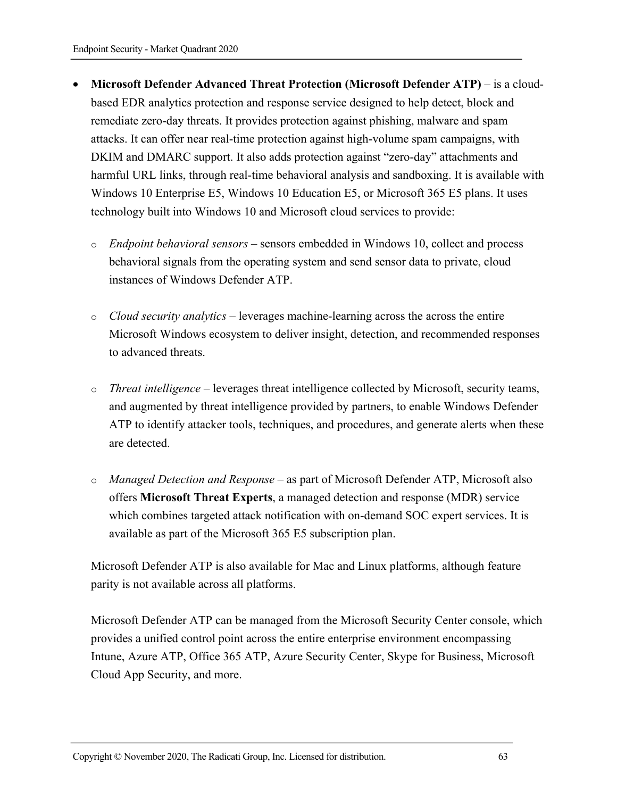- **Microsoft Defender Advanced Threat Protection (Microsoft Defender ATP)** is a cloudbased EDR analytics protection and response service designed to help detect, block and remediate zero-day threats. It provides protection against phishing, malware and spam attacks. It can offer near real-time protection against high-volume spam campaigns, with DKIM and DMARC support. It also adds protection against "zero-day" attachments and harmful URL links, through real-time behavioral analysis and sandboxing. It is available with Windows 10 Enterprise E5, Windows 10 Education E5, or Microsoft 365 E5 plans. It uses technology built into Windows 10 and Microsoft cloud services to provide:
	- o *Endpoint behavioral sensors* sensors embedded in Windows 10, collect and process behavioral signals from the operating system and send sensor data to private, cloud instances of Windows Defender ATP.
	- o *Cloud security analytics* leverages machine-learning across the across the entire Microsoft Windows ecosystem to deliver insight, detection, and recommended responses to advanced threats.
	- o *Threat intelligence* leverages threat intelligence collected by Microsoft, security teams, and augmented by threat intelligence provided by partners, to enable Windows Defender ATP to identify attacker tools, techniques, and procedures, and generate alerts when these are detected.
	- o *Managed Detection and Response*  as part of Microsoft Defender ATP, Microsoft also offers **Microsoft Threat Experts**, a managed detection and response (MDR) service which combines targeted attack notification with on-demand SOC expert services. It is available as part of the Microsoft 365 E5 subscription plan.

Microsoft Defender ATP is also available for Mac and Linux platforms, although feature parity is not available across all platforms.

Microsoft Defender ATP can be managed from the Microsoft Security Center console, which provides a unified control point across the entire enterprise environment encompassing Intune, Azure ATP, Office 365 ATP, Azure Security Center, Skype for Business, Microsoft Cloud App Security, and more.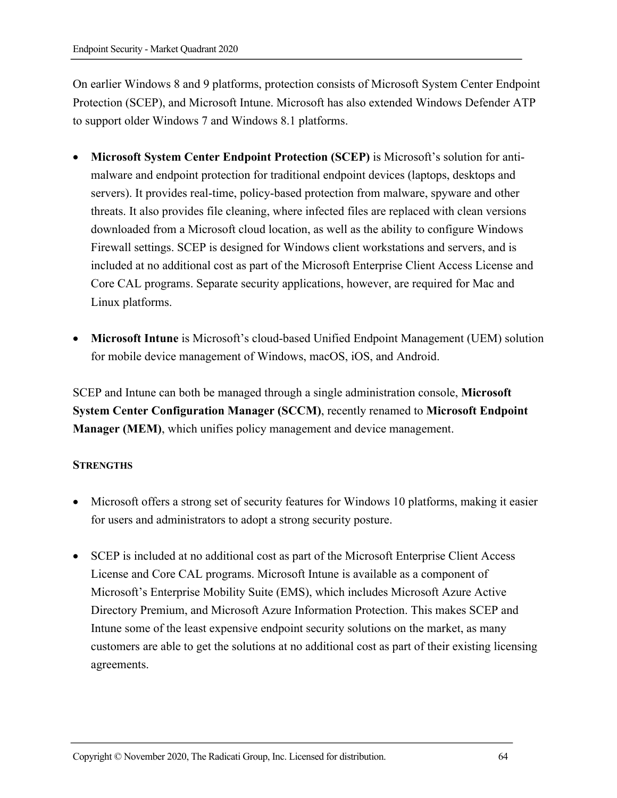On earlier Windows 8 and 9 platforms, protection consists of Microsoft System Center Endpoint Protection (SCEP), and Microsoft Intune. Microsoft has also extended Windows Defender ATP to support older Windows 7 and Windows 8.1 platforms.

- **Microsoft System Center Endpoint Protection (SCEP)** is Microsoft's solution for antimalware and endpoint protection for traditional endpoint devices (laptops, desktops and servers). It provides real-time, policy-based protection from malware, spyware and other threats. It also provides file cleaning, where infected files are replaced with clean versions downloaded from a Microsoft cloud location, as well as the ability to configure Windows Firewall settings. SCEP is designed for Windows client workstations and servers, and is included at no additional cost as part of the Microsoft Enterprise Client Access License and Core CAL programs. Separate security applications, however, are required for Mac and Linux platforms.
- **Microsoft Intune** is Microsoft's cloud-based Unified Endpoint Management (UEM) solution for mobile device management of Windows, macOS, iOS, and Android.

SCEP and Intune can both be managed through a single administration console, **Microsoft System Center Configuration Manager (SCCM)**, recently renamed to **Microsoft Endpoint Manager (MEM)**, which unifies policy management and device management.

#### **STRENGTHS**

- Microsoft offers a strong set of security features for Windows 10 platforms, making it easier for users and administrators to adopt a strong security posture.
- SCEP is included at no additional cost as part of the Microsoft Enterprise Client Access License and Core CAL programs. Microsoft Intune is available as a component of Microsoft's Enterprise Mobility Suite (EMS), which includes Microsoft Azure Active Directory Premium, and Microsoft Azure Information Protection. This makes SCEP and Intune some of the least expensive endpoint security solutions on the market, as many customers are able to get the solutions at no additional cost as part of their existing licensing agreements.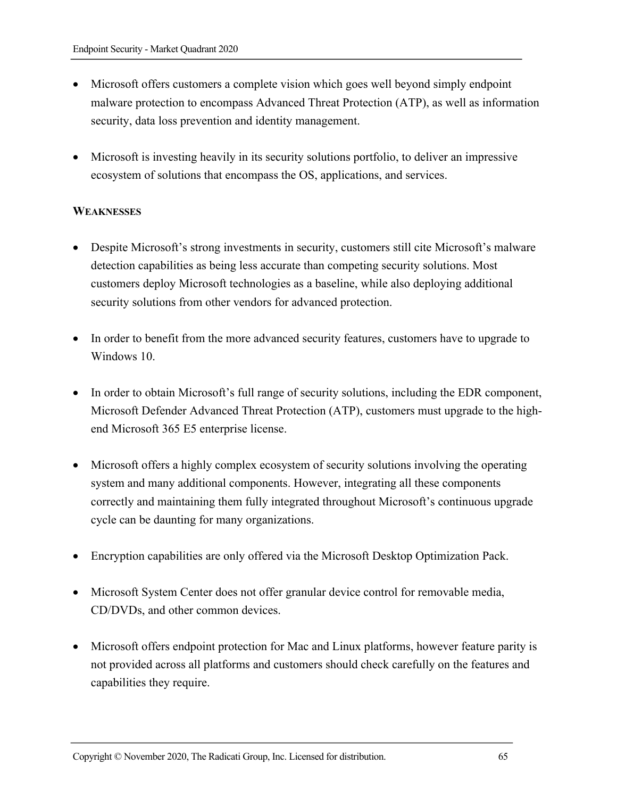- Microsoft offers customers a complete vision which goes well beyond simply endpoint malware protection to encompass Advanced Threat Protection (ATP), as well as information security, data loss prevention and identity management.
- Microsoft is investing heavily in its security solutions portfolio, to deliver an impressive ecosystem of solutions that encompass the OS, applications, and services.

#### **WEAKNESSES**

- Despite Microsoft's strong investments in security, customers still cite Microsoft's malware detection capabilities as being less accurate than competing security solutions. Most customers deploy Microsoft technologies as a baseline, while also deploying additional security solutions from other vendors for advanced protection.
- In order to benefit from the more advanced security features, customers have to upgrade to Windows 10.
- In order to obtain Microsoft's full range of security solutions, including the EDR component, Microsoft Defender Advanced Threat Protection (ATP), customers must upgrade to the highend Microsoft 365 E5 enterprise license.
- Microsoft offers a highly complex ecosystem of security solutions involving the operating system and many additional components. However, integrating all these components correctly and maintaining them fully integrated throughout Microsoft's continuous upgrade cycle can be daunting for many organizations.
- Encryption capabilities are only offered via the Microsoft Desktop Optimization Pack.
- Microsoft System Center does not offer granular device control for removable media, CD/DVDs, and other common devices.
- Microsoft offers endpoint protection for Mac and Linux platforms, however feature parity is not provided across all platforms and customers should check carefully on the features and capabilities they require.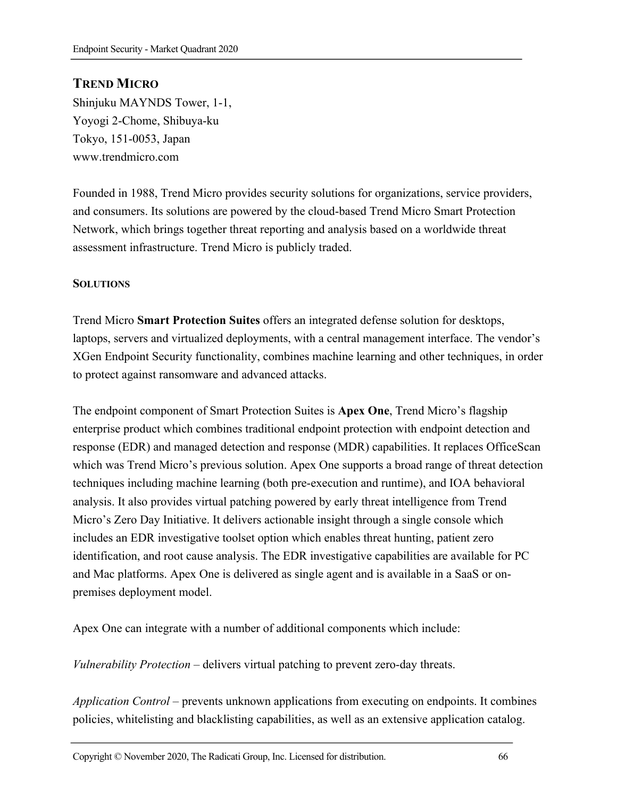# **TREND MICRO**

Shinjuku MAYNDS Tower, 1-1, Yoyogi 2-Chome, Shibuya-ku Tokyo, 151-0053, Japan www.trendmicro.com

Founded in 1988, Trend Micro provides security solutions for organizations, service providers, and consumers. Its solutions are powered by the cloud-based Trend Micro Smart Protection Network, which brings together threat reporting and analysis based on a worldwide threat assessment infrastructure. Trend Micro is publicly traded.

#### **SOLUTIONS**

Trend Micro **Smart Protection Suites** offers an integrated defense solution for desktops, laptops, servers and virtualized deployments, with a central management interface. The vendor's XGen Endpoint Security functionality, combines machine learning and other techniques, in order to protect against ransomware and advanced attacks.

The endpoint component of Smart Protection Suites is **Apex One**, Trend Micro's flagship enterprise product which combines traditional endpoint protection with endpoint detection and response (EDR) and managed detection and response (MDR) capabilities. It replaces OfficeScan which was Trend Micro's previous solution. Apex One supports a broad range of threat detection techniques including machine learning (both pre-execution and runtime), and IOA behavioral analysis. It also provides virtual patching powered by early threat intelligence from Trend Micro's Zero Day Initiative. It delivers actionable insight through a single console which includes an EDR investigative toolset option which enables threat hunting, patient zero identification, and root cause analysis. The EDR investigative capabilities are available for PC and Mac platforms. Apex One is delivered as single agent and is available in a SaaS or onpremises deployment model.

Apex One can integrate with a number of additional components which include:

*Vulnerability Protection* – delivers virtual patching to prevent zero-day threats.

*Application Control* – prevents unknown applications from executing on endpoints. It combines policies, whitelisting and blacklisting capabilities, as well as an extensive application catalog.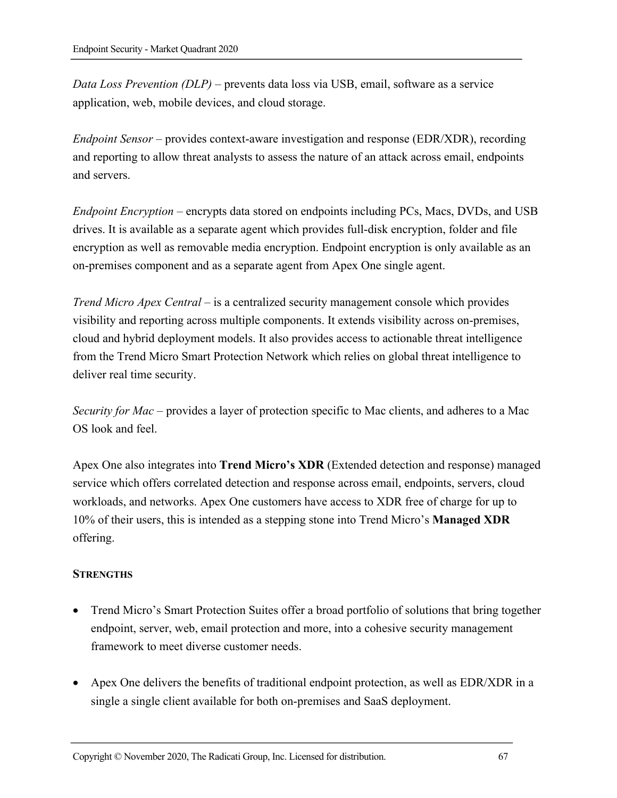*Data Loss Prevention (DLP)* – prevents data loss via USB, email, software as a service application, web, mobile devices, and cloud storage.

*Endpoint Sensor* – provides context-aware investigation and response (EDR/XDR), recording and reporting to allow threat analysts to assess the nature of an attack across email, endpoints and servers.

*Endpoint Encryption* – encrypts data stored on endpoints including PCs, Macs, DVDs, and USB drives. It is available as a separate agent which provides full-disk encryption, folder and file encryption as well as removable media encryption. Endpoint encryption is only available as an on-premises component and as a separate agent from Apex One single agent.

*Trend Micro Apex Central* – is a centralized security management console which provides visibility and reporting across multiple components. It extends visibility across on-premises, cloud and hybrid deployment models. It also provides access to actionable threat intelligence from the Trend Micro Smart Protection Network which relies on global threat intelligence to deliver real time security.

*Security for Mac* – provides a layer of protection specific to Mac clients, and adheres to a Mac OS look and feel.

Apex One also integrates into **Trend Micro's XDR** (Extended detection and response) managed service which offers correlated detection and response across email, endpoints, servers, cloud workloads, and networks. Apex One customers have access to XDR free of charge for up to 10% of their users, this is intended as a stepping stone into Trend Micro's **Managed XDR** offering.

#### **STRENGTHS**

- Trend Micro's Smart Protection Suites offer a broad portfolio of solutions that bring together endpoint, server, web, email protection and more, into a cohesive security management framework to meet diverse customer needs.
- Apex One delivers the benefits of traditional endpoint protection, as well as EDR/XDR in a single a single client available for both on-premises and SaaS deployment.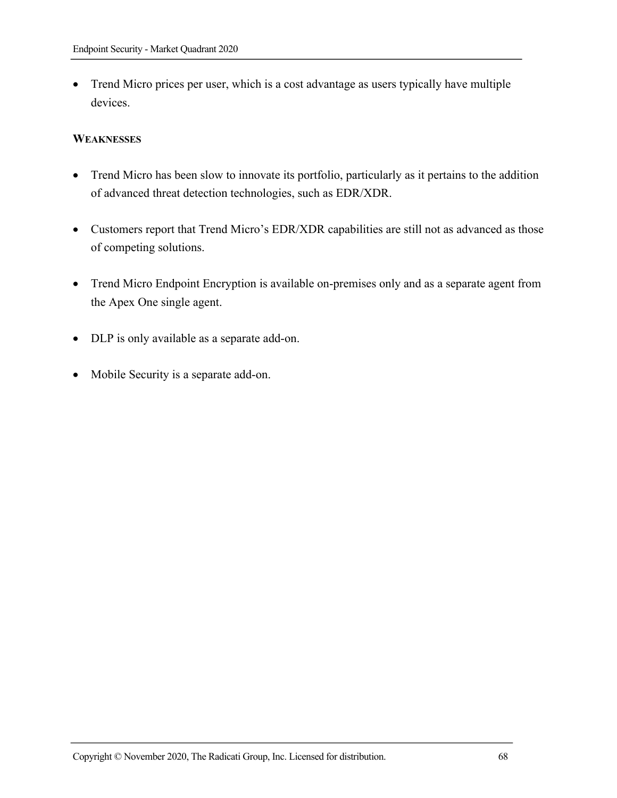• Trend Micro prices per user, which is a cost advantage as users typically have multiple devices.

#### **WEAKNESSES**

- Trend Micro has been slow to innovate its portfolio, particularly as it pertains to the addition of advanced threat detection technologies, such as EDR/XDR.
- Customers report that Trend Micro's EDR/XDR capabilities are still not as advanced as those of competing solutions.
- Trend Micro Endpoint Encryption is available on-premises only and as a separate agent from the Apex One single agent.
- DLP is only available as a separate add-on.
- Mobile Security is a separate add-on.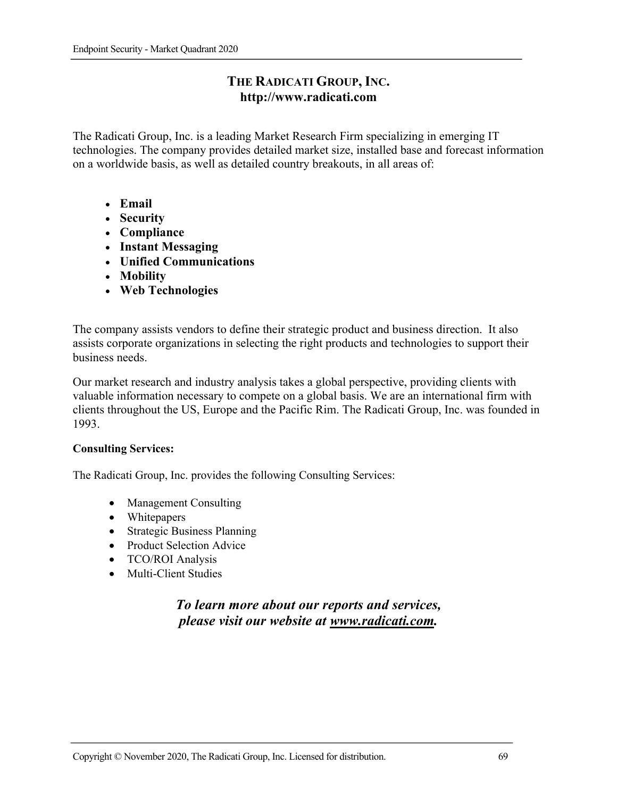# **THE RADICATI GROUP, INC. http://www.radicati.com**

The Radicati Group, Inc. is a leading Market Research Firm specializing in emerging IT technologies. The company provides detailed market size, installed base and forecast information on a worldwide basis, as well as detailed country breakouts, in all areas of:

- **Email**
- **Security**
- **Compliance**
- **Instant Messaging**
- **Unified Communications**
- **Mobility**
- **Web Technologies**

The company assists vendors to define their strategic product and business direction. It also assists corporate organizations in selecting the right products and technologies to support their business needs.

Our market research and industry analysis takes a global perspective, providing clients with valuable information necessary to compete on a global basis. We are an international firm with clients throughout the US, Europe and the Pacific Rim. The Radicati Group, Inc. was founded in 1993.

#### **Consulting Services:**

The Radicati Group, Inc. provides the following Consulting Services:

- Management Consulting
- Whitepapers
- Strategic Business Planning
- Product Selection Advice
- TCO/ROI Analysis
- Multi-Client Studies

# *To learn more about our reports and services, please visit our website at www.radicati.com.*